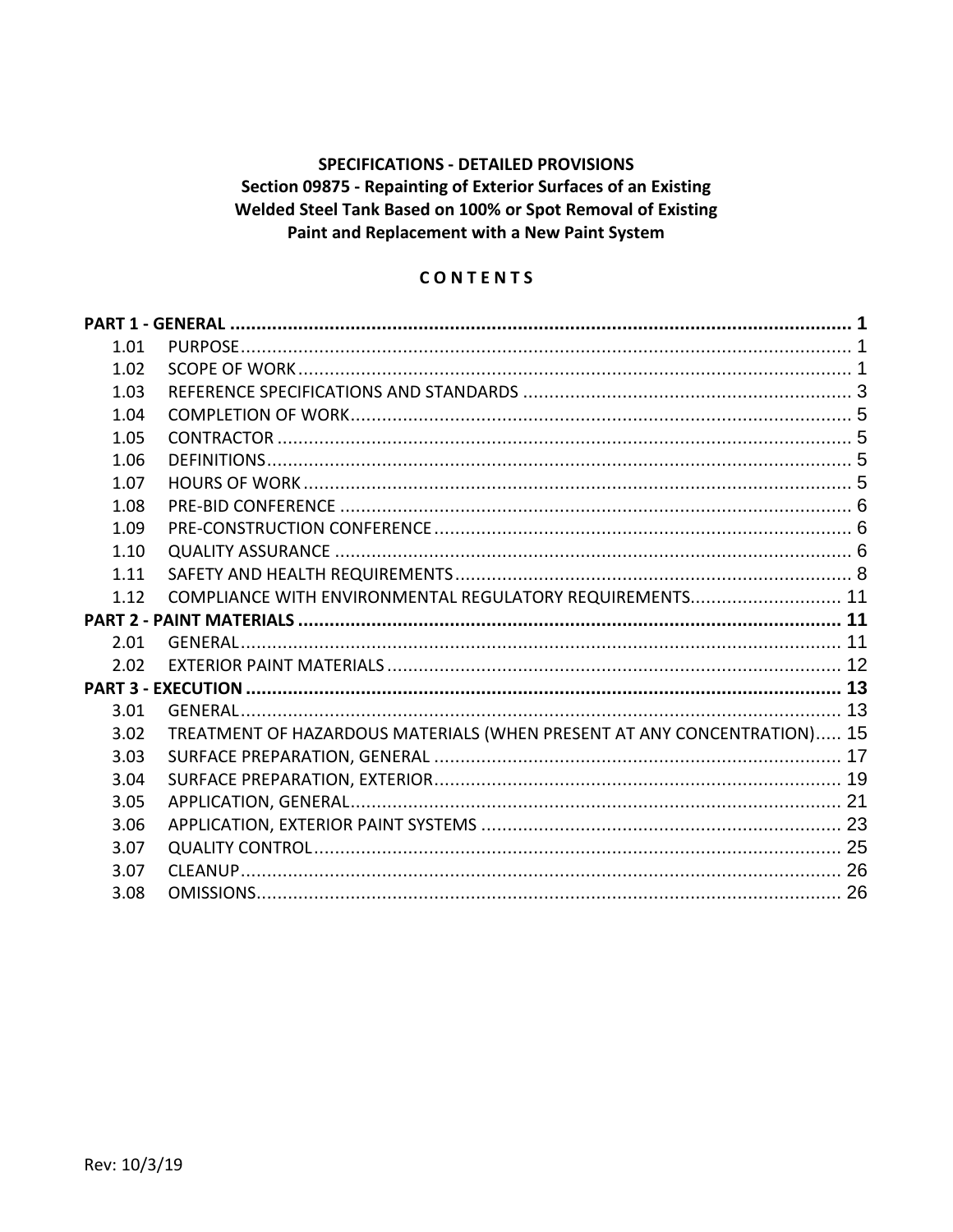# **SPECIFICATIONS - DETAILED PROVISIONS** Section 09875 - Repainting of Exterior Surfaces of an Existing Welded Steel Tank Based on 100% or Spot Removal of Existing Paint and Replacement with a New Paint System

## CONTENTS

| 1.01         |                                                                         |  |
|--------------|-------------------------------------------------------------------------|--|
| 1.02         |                                                                         |  |
| 1.03         |                                                                         |  |
| 1.04         |                                                                         |  |
| 1.05         |                                                                         |  |
| 1.06         |                                                                         |  |
| 1.07         |                                                                         |  |
| 1.08         |                                                                         |  |
| 1.09         |                                                                         |  |
| 1.10         |                                                                         |  |
| 1.11         |                                                                         |  |
| 1.12         | COMPLIANCE WITH ENVIRONMENTAL REGULATORY REQUIREMENTS 11                |  |
|              |                                                                         |  |
|              |                                                                         |  |
| 2.01         |                                                                         |  |
| 2.02         |                                                                         |  |
|              |                                                                         |  |
| 3.01         |                                                                         |  |
| 3.02         | TREATMENT OF HAZARDOUS MATERIALS (WHEN PRESENT AT ANY CONCENTRATION) 15 |  |
| 3.03         |                                                                         |  |
| 3.04         |                                                                         |  |
| 3.05         |                                                                         |  |
| 3.06         |                                                                         |  |
| 3.07         |                                                                         |  |
| 3.07<br>3.08 |                                                                         |  |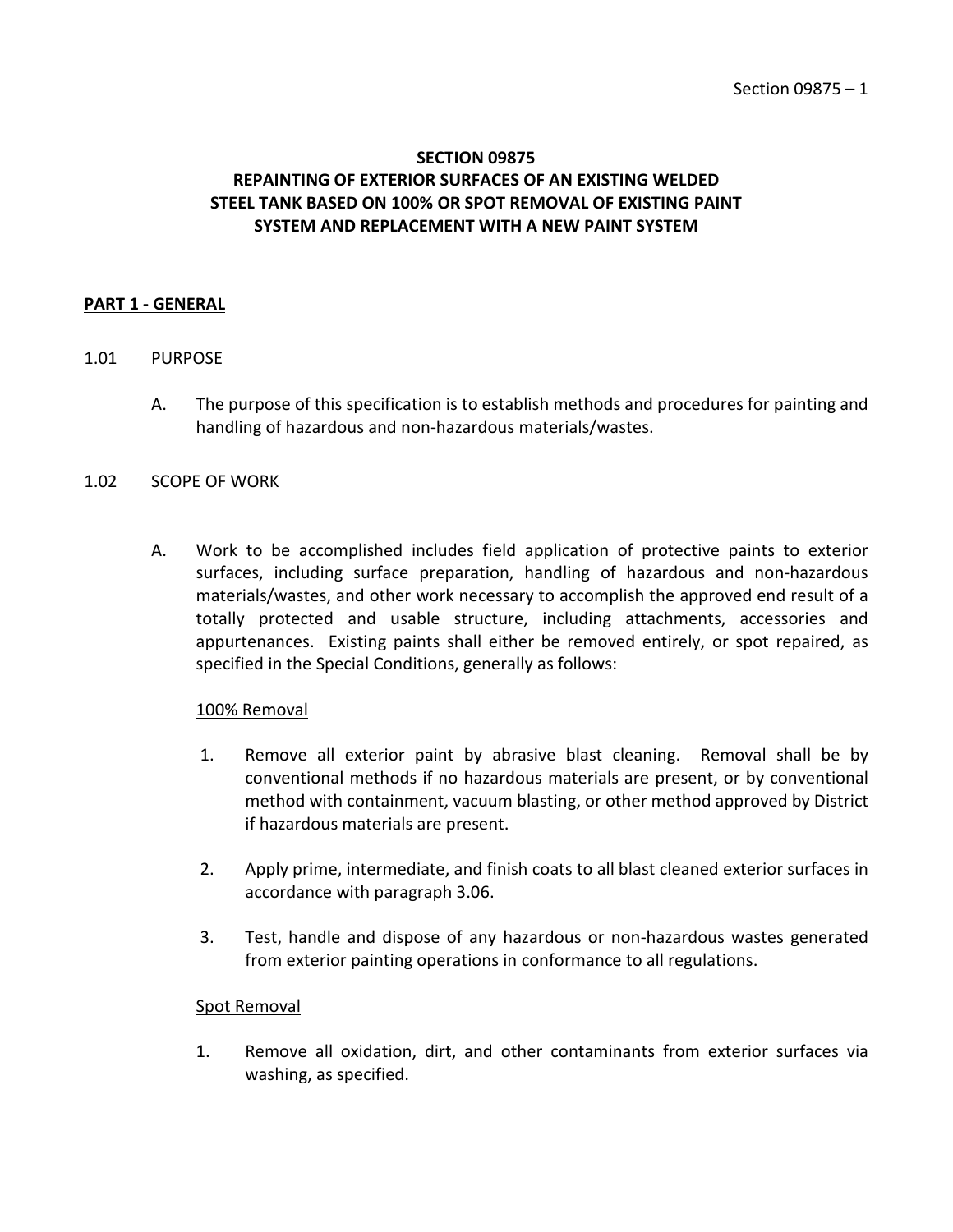# **SECTION 09875 REPAINTING OF EXTERIOR SURFACES OF AN EXISTING WELDED STEEL TANK BASED ON 100% OR SPOT REMOVAL OF EXISTING PAINT SYSTEM AND REPLACEMENT WITH A NEW PAINT SYSTEM**

#### <span id="page-2-0"></span>**PART 1 - GENERAL**

#### <span id="page-2-1"></span>1.01 PURPOSE

A. The purpose of this specification is to establish methods and procedures for painting and handling of hazardous and non-hazardous materials/wastes.

#### <span id="page-2-2"></span>1.02 SCOPE OF WORK

A. Work to be accomplished includes field application of protective paints to exterior surfaces, including surface preparation, handling of hazardous and non-hazardous materials/wastes, and other work necessary to accomplish the approved end result of a totally protected and usable structure, including attachments, accessories and appurtenances. Existing paints shall either be removed entirely, or spot repaired, as specified in the Special Conditions, generally as follows:

#### 100% Removal

- 1. Remove all exterior paint by abrasive blast cleaning. Removal shall be by conventional methods if no hazardous materials are present, or by conventional method with containment, vacuum blasting, or other method approved by District if hazardous materials are present.
- 2. Apply prime, intermediate, and finish coats to all blast cleaned exterior surfaces in accordance with paragraph 3.06.
- 3. Test, handle and dispose of any hazardous or non-hazardous wastes generated from exterior painting operations in conformance to all regulations.

#### Spot Removal

1. Remove all oxidation, dirt, and other contaminants from exterior surfaces via washing, as specified.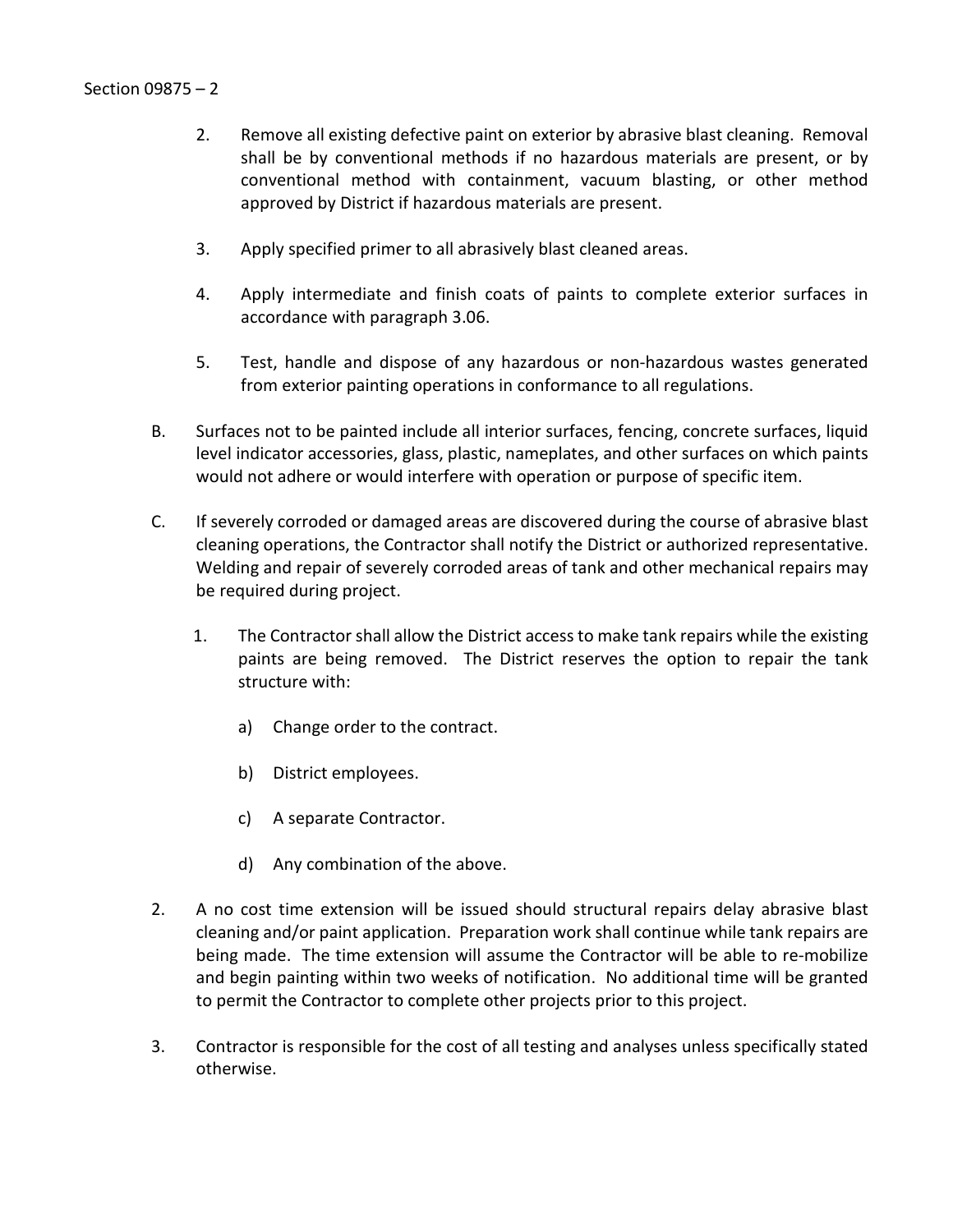- 2. Remove all existing defective paint on exterior by abrasive blast cleaning. Removal shall be by conventional methods if no hazardous materials are present, or by conventional method with containment, vacuum blasting, or other method approved by District if hazardous materials are present.
- 3. Apply specified primer to all abrasively blast cleaned areas.
- 4. Apply intermediate and finish coats of paints to complete exterior surfaces in accordance with paragraph 3.06.
- 5. Test, handle and dispose of any hazardous or non-hazardous wastes generated from exterior painting operations in conformance to all regulations.
- B. Surfaces not to be painted include all interior surfaces, fencing, concrete surfaces, liquid level indicator accessories, glass, plastic, nameplates, and other surfaces on which paints would not adhere or would interfere with operation or purpose of specific item.
- C. If severely corroded or damaged areas are discovered during the course of abrasive blast cleaning operations, the Contractor shall notify the District or authorized representative. Welding and repair of severely corroded areas of tank and other mechanical repairs may be required during project.
	- 1. The Contractor shall allow the District access to make tank repairs while the existing paints are being removed. The District reserves the option to repair the tank structure with:
		- a) Change order to the contract.
		- b) District employees.
		- c) A separate Contractor.
		- d) Any combination of the above.
- 2. A no cost time extension will be issued should structural repairs delay abrasive blast cleaning and/or paint application. Preparation work shall continue while tank repairs are being made. The time extension will assume the Contractor will be able to re-mobilize and begin painting within two weeks of notification. No additional time will be granted to permit the Contractor to complete other projects prior to this project.
- 3. Contractor is responsible for the cost of all testing and analyses unless specifically stated otherwise.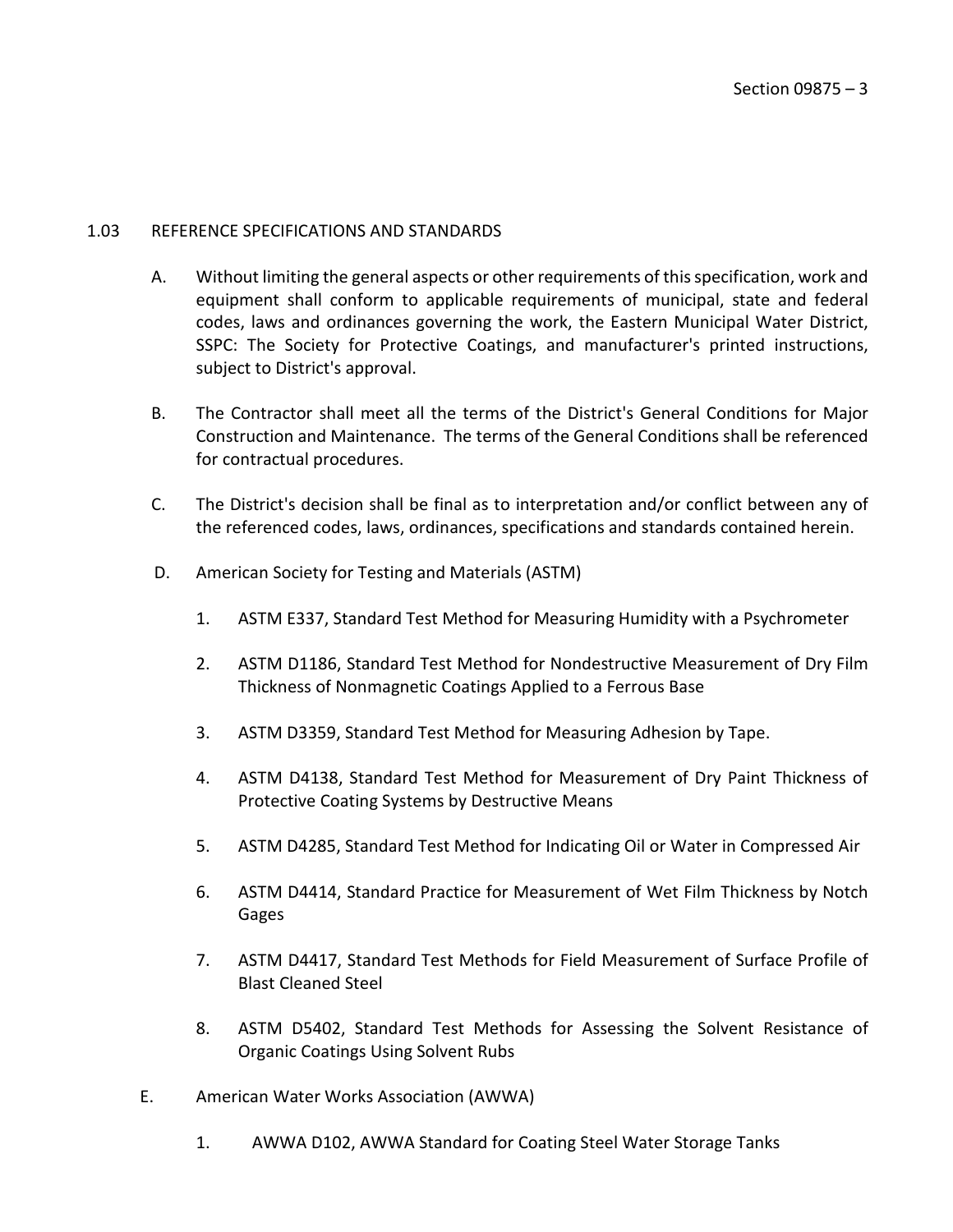#### <span id="page-4-0"></span>1.03 REFERENCE SPECIFICATIONS AND STANDARDS

- A. Without limiting the general aspects or other requirements of this specification, work and equipment shall conform to applicable requirements of municipal, state and federal codes, laws and ordinances governing the work, the Eastern Municipal Water District, SSPC: The Society for Protective Coatings, and manufacturer's printed instructions, subject to District's approval.
- B. The Contractor shall meet all the terms of the District's General Conditions for Major Construction and Maintenance. The terms of the General Conditions shall be referenced for contractual procedures.
- C. The District's decision shall be final as to interpretation and/or conflict between any of the referenced codes, laws, ordinances, specifications and standards contained herein.
- D. American Society for Testing and Materials (ASTM)
	- 1. ASTM E337, Standard Test Method for Measuring Humidity with a Psychrometer
	- 2. ASTM D1186, Standard Test Method for Nondestructive Measurement of Dry Film Thickness of Nonmagnetic Coatings Applied to a Ferrous Base
	- 3. ASTM D3359, Standard Test Method for Measuring Adhesion by Tape.
	- 4. ASTM D4138, Standard Test Method for Measurement of Dry Paint Thickness of Protective Coating Systems by Destructive Means
	- 5. ASTM D4285, Standard Test Method for Indicating Oil or Water in Compressed Air
	- 6. ASTM D4414, Standard Practice for Measurement of Wet Film Thickness by Notch Gages
	- 7. ASTM D4417, Standard Test Methods for Field Measurement of Surface Profile of Blast Cleaned Steel
	- 8. ASTM D5402, Standard Test Methods for Assessing the Solvent Resistance of Organic Coatings Using Solvent Rubs
- E. American Water Works Association (AWWA)
	- 1. AWWA D102, AWWA Standard for Coating Steel Water Storage Tanks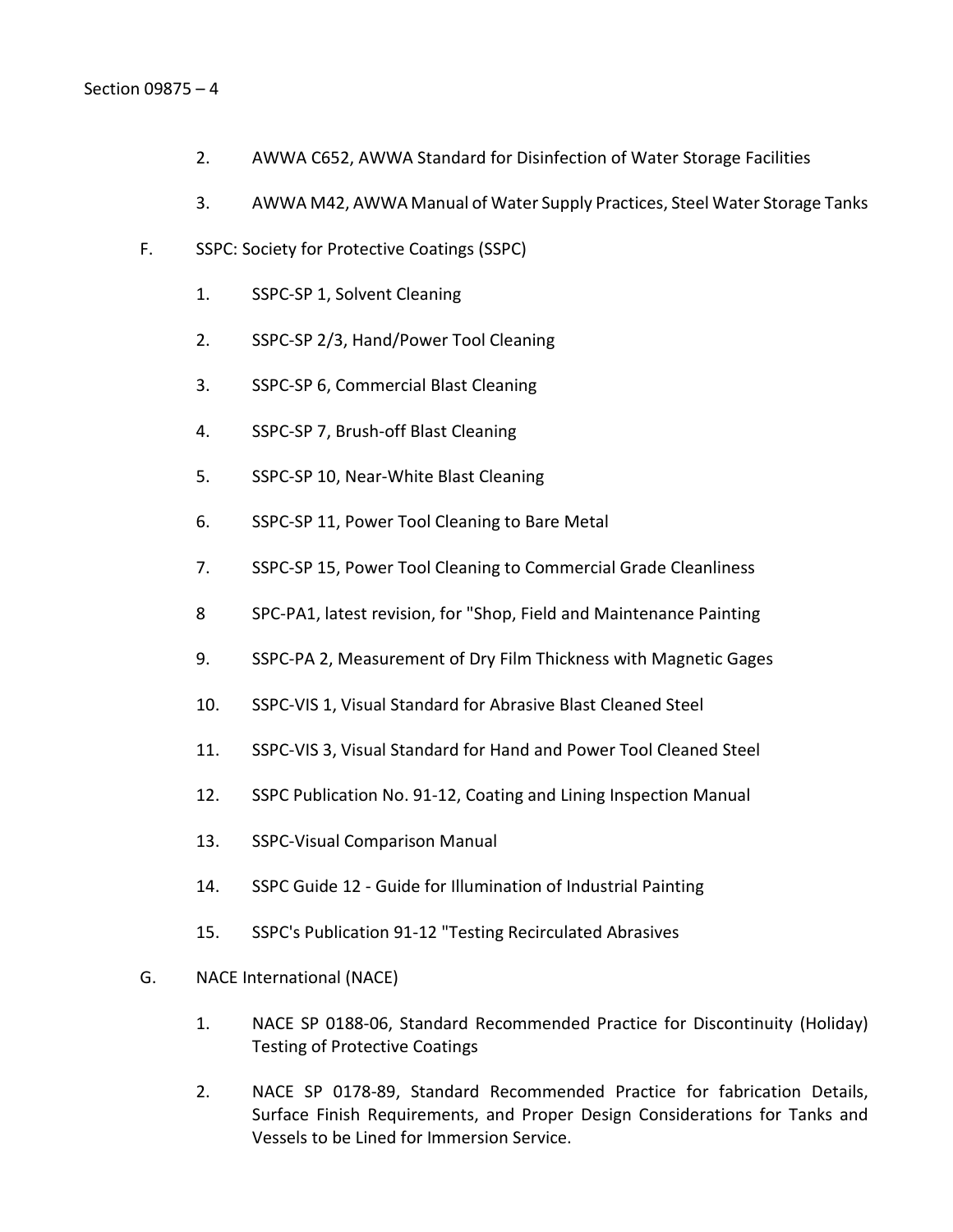- 2. AWWA C652, AWWA Standard for Disinfection of Water Storage Facilities
- 3. AWWA M42, AWWA Manual of Water Supply Practices, Steel Water Storage Tanks
- F. SSPC: Society for Protective Coatings (SSPC)
	- 1. SSPC-SP 1, Solvent Cleaning
	- 2. SSPC-SP 2/3, Hand/Power Tool Cleaning
	- 3. SSPC-SP 6, Commercial Blast Cleaning
	- 4. SSPC-SP 7, Brush-off Blast Cleaning
	- 5. SSPC-SP 10, Near-White Blast Cleaning
	- 6. SSPC-SP 11, Power Tool Cleaning to Bare Metal
	- 7. SSPC-SP 15, Power Tool Cleaning to Commercial Grade Cleanliness
	- 8 SPC-PA1, latest revision, for "Shop, Field and Maintenance Painting
	- 9. SSPC-PA 2, Measurement of Dry Film Thickness with Magnetic Gages
	- 10. SSPC-VIS 1, Visual Standard for Abrasive Blast Cleaned Steel
	- 11. SSPC-VIS 3, Visual Standard for Hand and Power Tool Cleaned Steel
	- 12. SSPC Publication No. 91-12, Coating and Lining Inspection Manual
	- 13. SSPC-Visual Comparison Manual
	- 14. SSPC Guide 12 Guide for Illumination of Industrial Painting
	- 15. SSPC's Publication 91-12 "Testing Recirculated Abrasives
- G. NACE International (NACE)
	- 1. NACE SP 0188-06, Standard Recommended Practice for Discontinuity (Holiday) Testing of Protective Coatings
	- 2. NACE SP 0178-89, Standard Recommended Practice for fabrication Details, Surface Finish Requirements, and Proper Design Considerations for Tanks and Vessels to be Lined for Immersion Service.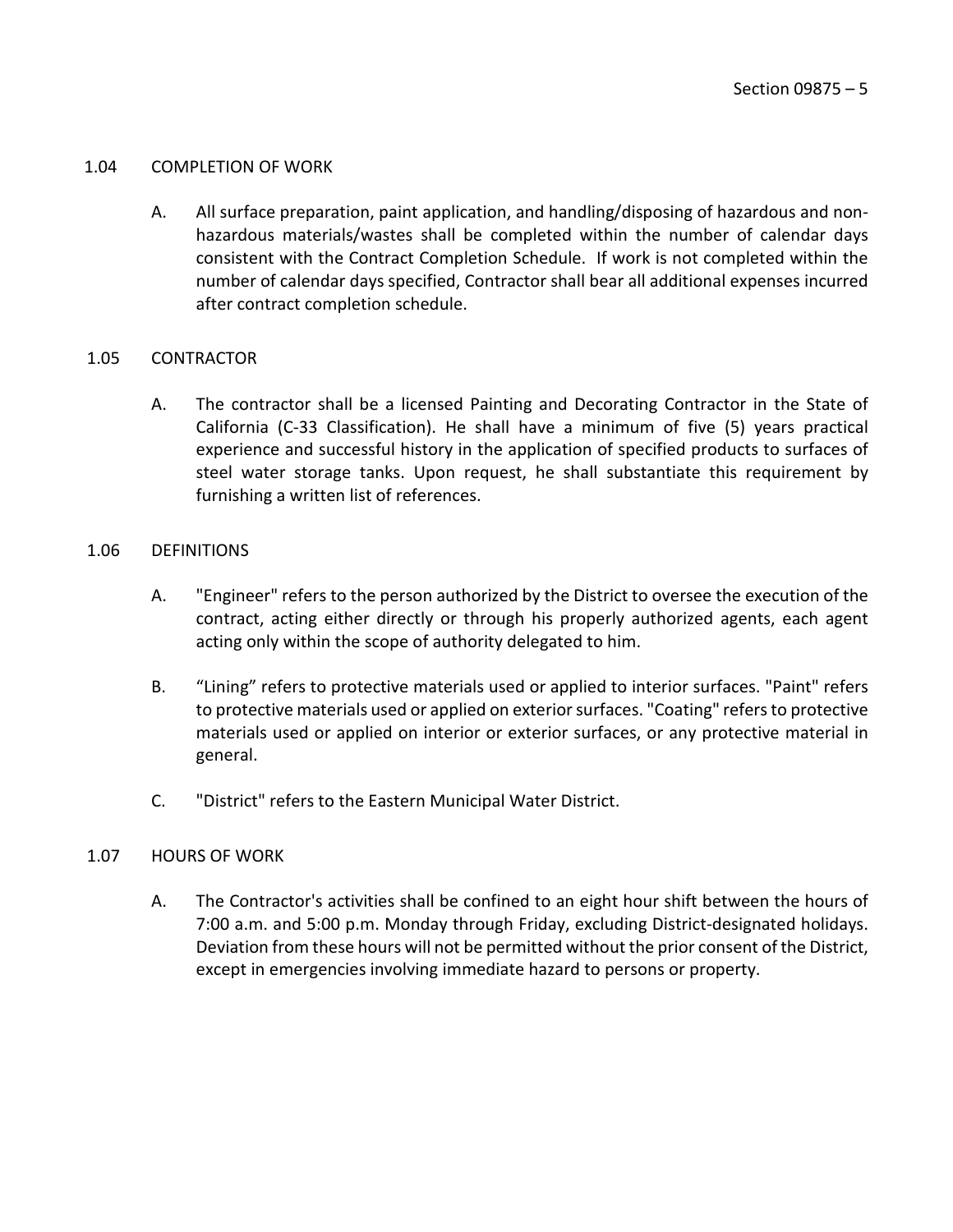#### <span id="page-6-0"></span>1.04 COMPLETION OF WORK

A. All surface preparation, paint application, and handling/disposing of hazardous and nonhazardous materials/wastes shall be completed within the number of calendar days consistent with the Contract Completion Schedule. If work is not completed within the number of calendar days specified, Contractor shall bear all additional expenses incurred after contract completion schedule.

## <span id="page-6-1"></span>1.05 CONTRACTOR

A. The contractor shall be a licensed Painting and Decorating Contractor in the State of California (C-33 Classification). He shall have a minimum of five (5) years practical experience and successful history in the application of specified products to surfaces of steel water storage tanks. Upon request, he shall substantiate this requirement by furnishing a written list of references.

#### <span id="page-6-2"></span>1.06 DEFINITIONS

- A. "Engineer" refers to the person authorized by the District to oversee the execution of the contract, acting either directly or through his properly authorized agents, each agent acting only within the scope of authority delegated to him.
- B. "Lining" refers to protective materials used or applied to interior surfaces. "Paint" refers to protective materials used or applied on exterior surfaces. "Coating" refers to protective materials used or applied on interior or exterior surfaces, or any protective material in general.
- C. "District" refers to the Eastern Municipal Water District.

## <span id="page-6-3"></span>1.07 HOURS OF WORK

A. The Contractor's activities shall be confined to an eight hour shift between the hours of 7:00 a.m. and 5:00 p.m. Monday through Friday, excluding District-designated holidays. Deviation from these hours will not be permitted without the prior consent of the District, except in emergencies involving immediate hazard to persons or property.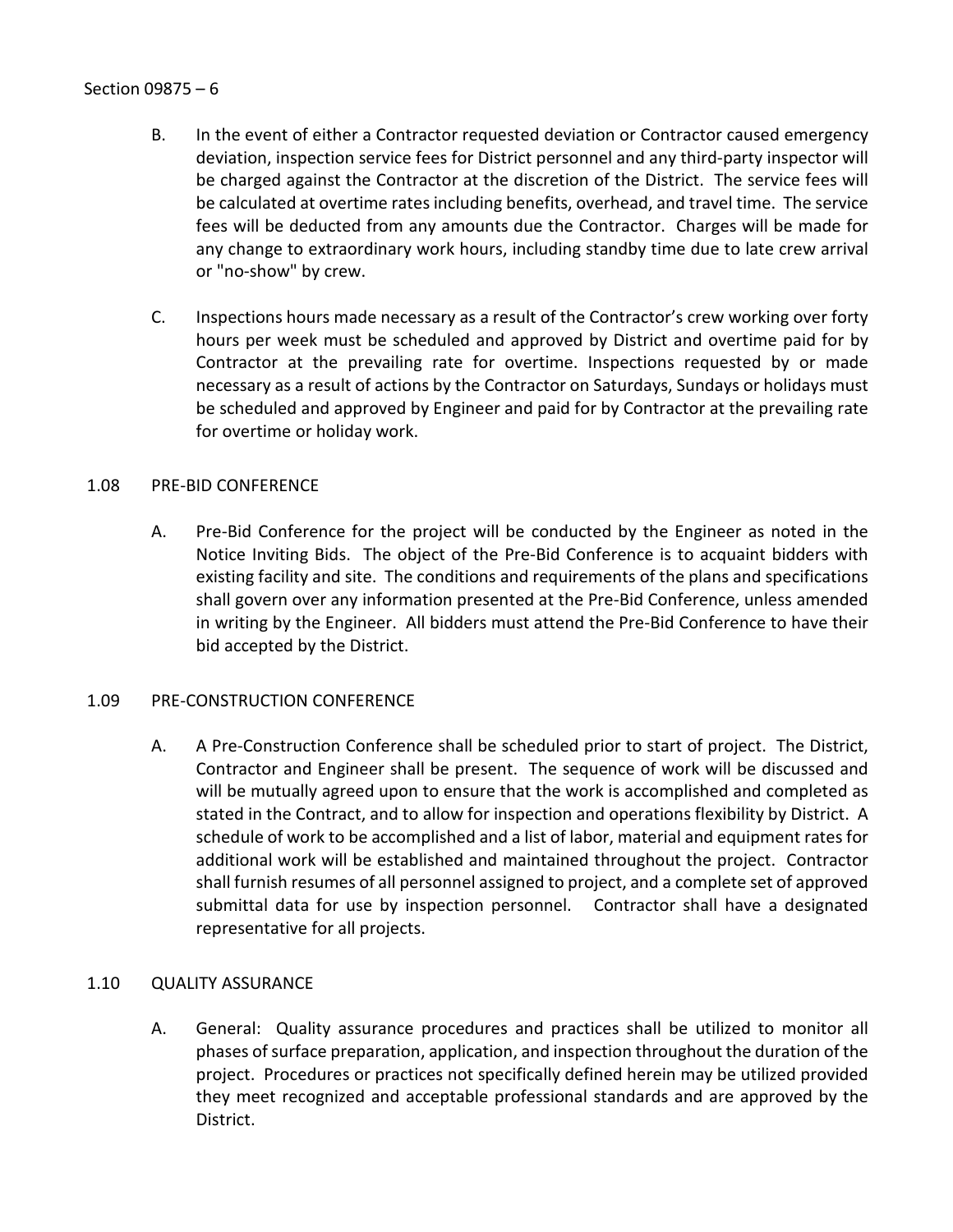- B. In the event of either a Contractor requested deviation or Contractor caused emergency deviation, inspection service fees for District personnel and any third-party inspector will be charged against the Contractor at the discretion of the District. The service fees will be calculated at overtime rates including benefits, overhead, and travel time. The service fees will be deducted from any amounts due the Contractor. Charges will be made for any change to extraordinary work hours, including standby time due to late crew arrival or "no-show" by crew.
- C. Inspections hours made necessary as a result of the Contractor's crew working over forty hours per week must be scheduled and approved by District and overtime paid for by Contractor at the prevailing rate for overtime. Inspections requested by or made necessary as a result of actions by the Contractor on Saturdays, Sundays or holidays must be scheduled and approved by Engineer and paid for by Contractor at the prevailing rate for overtime or holiday work.

## <span id="page-7-0"></span>1.08 PRE-BID CONFERENCE

A. Pre-Bid Conference for the project will be conducted by the Engineer as noted in the Notice Inviting Bids. The object of the Pre-Bid Conference is to acquaint bidders with existing facility and site. The conditions and requirements of the plans and specifications shall govern over any information presented at the Pre-Bid Conference, unless amended in writing by the Engineer. All bidders must attend the Pre-Bid Conference to have their bid accepted by the District.

## <span id="page-7-1"></span>1.09 PRE-CONSTRUCTION CONFERENCE

A. A Pre-Construction Conference shall be scheduled prior to start of project. The District, Contractor and Engineer shall be present. The sequence of work will be discussed and will be mutually agreed upon to ensure that the work is accomplished and completed as stated in the Contract, and to allow for inspection and operations flexibility by District. A schedule of work to be accomplished and a list of labor, material and equipment rates for additional work will be established and maintained throughout the project. Contractor shall furnish resumes of all personnel assigned to project, and a complete set of approved submittal data for use by inspection personnel. Contractor shall have a designated representative for all projects.

## <span id="page-7-2"></span>1.10 QUALITY ASSURANCE

A. General: Quality assurance procedures and practices shall be utilized to monitor all phases of surface preparation, application, and inspection throughout the duration of the project. Procedures or practices not specifically defined herein may be utilized provided they meet recognized and acceptable professional standards and are approved by the District.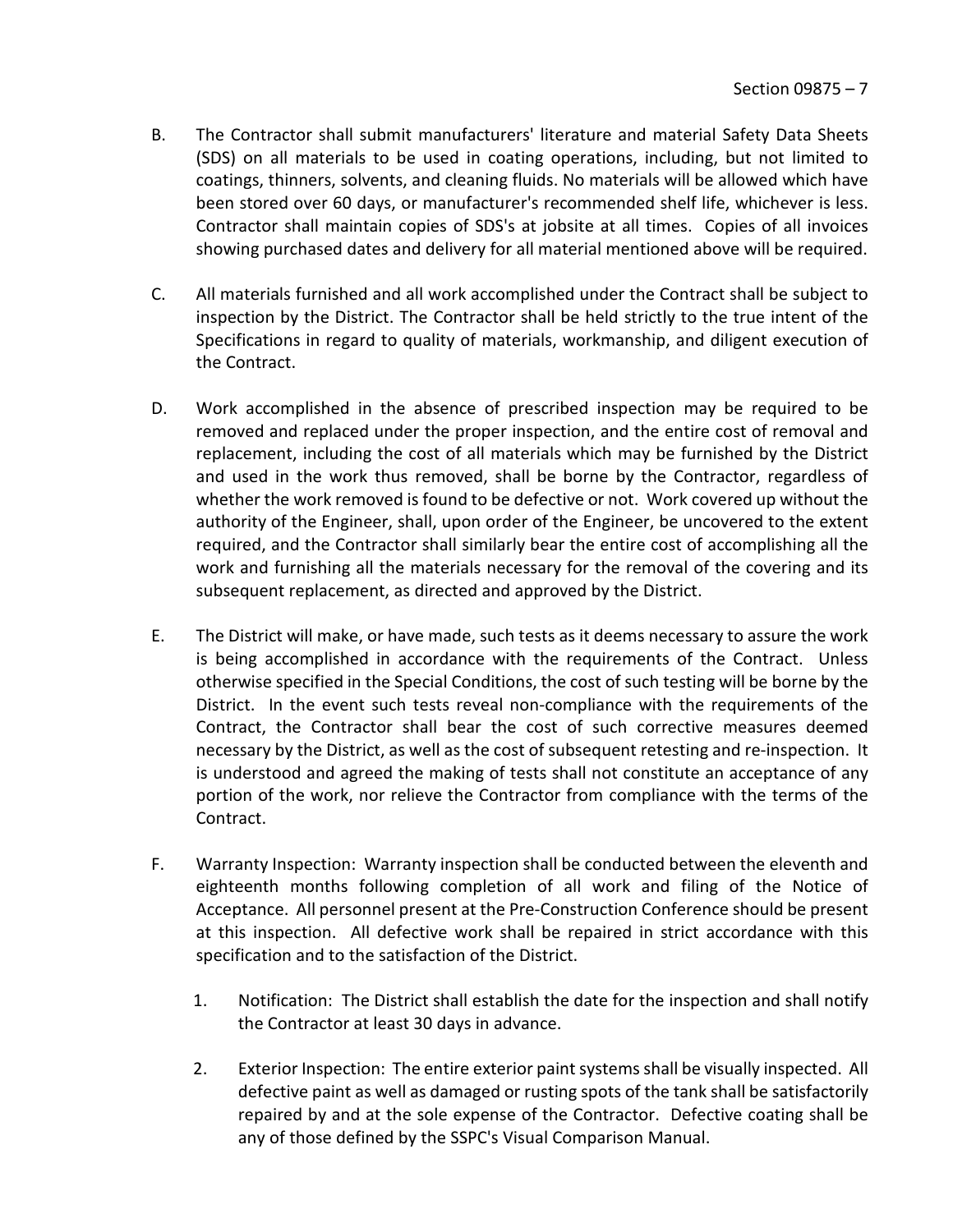- B. The Contractor shall submit manufacturers' literature and material Safety Data Sheets (SDS) on all materials to be used in coating operations, including, but not limited to coatings, thinners, solvents, and cleaning fluids. No materials will be allowed which have been stored over 60 days, or manufacturer's recommended shelf life, whichever is less. Contractor shall maintain copies of SDS's at jobsite at all times. Copies of all invoices showing purchased dates and delivery for all material mentioned above will be required.
- C. All materials furnished and all work accomplished under the Contract shall be subject to inspection by the District. The Contractor shall be held strictly to the true intent of the Specifications in regard to quality of materials, workmanship, and diligent execution of the Contract.
- D. Work accomplished in the absence of prescribed inspection may be required to be removed and replaced under the proper inspection, and the entire cost of removal and replacement, including the cost of all materials which may be furnished by the District and used in the work thus removed, shall be borne by the Contractor, regardless of whether the work removed is found to be defective or not. Work covered up without the authority of the Engineer, shall, upon order of the Engineer, be uncovered to the extent required, and the Contractor shall similarly bear the entire cost of accomplishing all the work and furnishing all the materials necessary for the removal of the covering and its subsequent replacement, as directed and approved by the District.
- E. The District will make, or have made, such tests as it deems necessary to assure the work is being accomplished in accordance with the requirements of the Contract. Unless otherwise specified in the Special Conditions, the cost of such testing will be borne by the District. In the event such tests reveal non-compliance with the requirements of the Contract, the Contractor shall bear the cost of such corrective measures deemed necessary by the District, as well as the cost of subsequent retesting and re-inspection. It is understood and agreed the making of tests shall not constitute an acceptance of any portion of the work, nor relieve the Contractor from compliance with the terms of the Contract.
- F. Warranty Inspection: Warranty inspection shall be conducted between the eleventh and eighteenth months following completion of all work and filing of the Notice of Acceptance. All personnel present at the Pre-Construction Conference should be present at this inspection. All defective work shall be repaired in strict accordance with this specification and to the satisfaction of the District.
	- 1. Notification: The District shall establish the date for the inspection and shall notify the Contractor at least 30 days in advance.
	- 2. Exterior Inspection: The entire exterior paint systems shall be visually inspected. All defective paint as well as damaged or rusting spots of the tank shall be satisfactorily repaired by and at the sole expense of the Contractor. Defective coating shall be any of those defined by the SSPC's Visual Comparison Manual.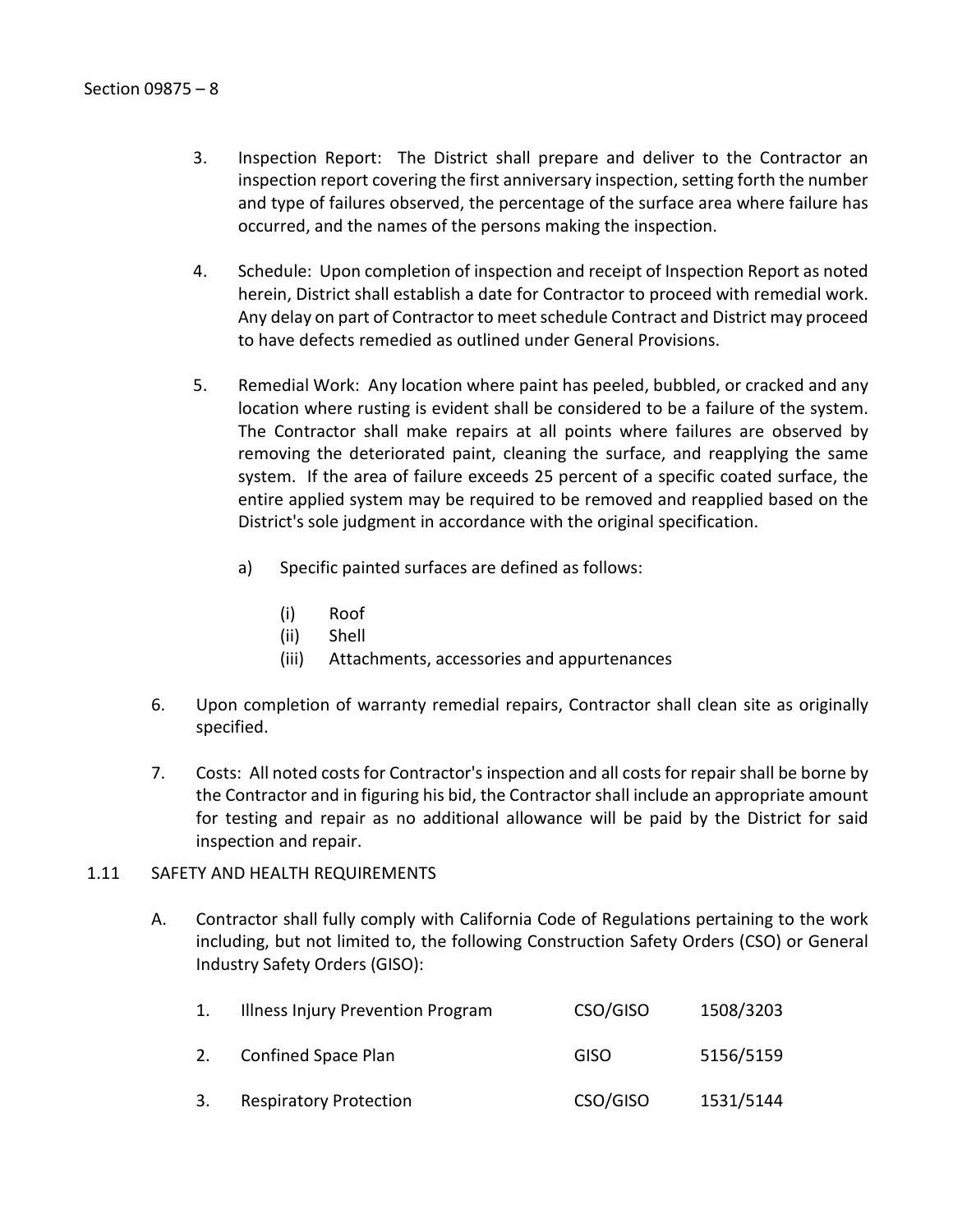- 3. Inspection Report: The District shall prepare and deliver to the Contractor an inspection report covering the first anniversary inspection, setting forth the number and type of failures observed, the percentage of the surface area where failure has occurred, and the names of the persons making the inspection.
- 4. Schedule: Upon completion of inspection and receipt of Inspection Report as noted herein, District shall establish a date for Contractor to proceed with remedial work. Any delay on part of Contractor to meet schedule Contract and District may proceed to have defects remedied as outlined under General Provisions.
- 5. Remedial Work: Any location where paint has peeled, bubbled, or cracked and any location where rusting is evident shall be considered to be a failure of the system. The Contractor shall make repairs at all points where failures are observed by removing the deteriorated paint, cleaning the surface, and reapplying the same system. If the area of failure exceeds 25 percent of a specific coated surface, the entire applied system may be required to be removed and reapplied based on the District's sole judgment in accordance with the original specification.
	- a) Specific painted surfaces are defined as follows:
		- (i) Roof
		- (ii) Shell
		- (iii) Attachments, accessories and appurtenances
- 6. Upon completion of warranty remedial repairs, Contractor shall clean site as originally specified.
- 7. Costs: All noted costs for Contractor's inspection and all costs for repair shall be borne by the Contractor and in figuring his bid, the Contractor shall include an appropriate amount for testing and repair as no additional allowance will be paid by the District for said inspection and repair.

## <span id="page-9-0"></span>1.11 SAFETY AND HEALTH REQUIREMENTS

A. Contractor shall fully comply with California Code of Regulations pertaining to the work including, but not limited to, the following Construction Safety Orders (CSO) or General Industry Safety Orders (GISO):

| 1. | Illness Injury Prevention Program | CSO/GISO    | 1508/3203 |
|----|-----------------------------------|-------------|-----------|
| 2. | Confined Space Plan               | <b>GISO</b> | 5156/5159 |
| 3. | <b>Respiratory Protection</b>     | CSO/GISO    | 1531/5144 |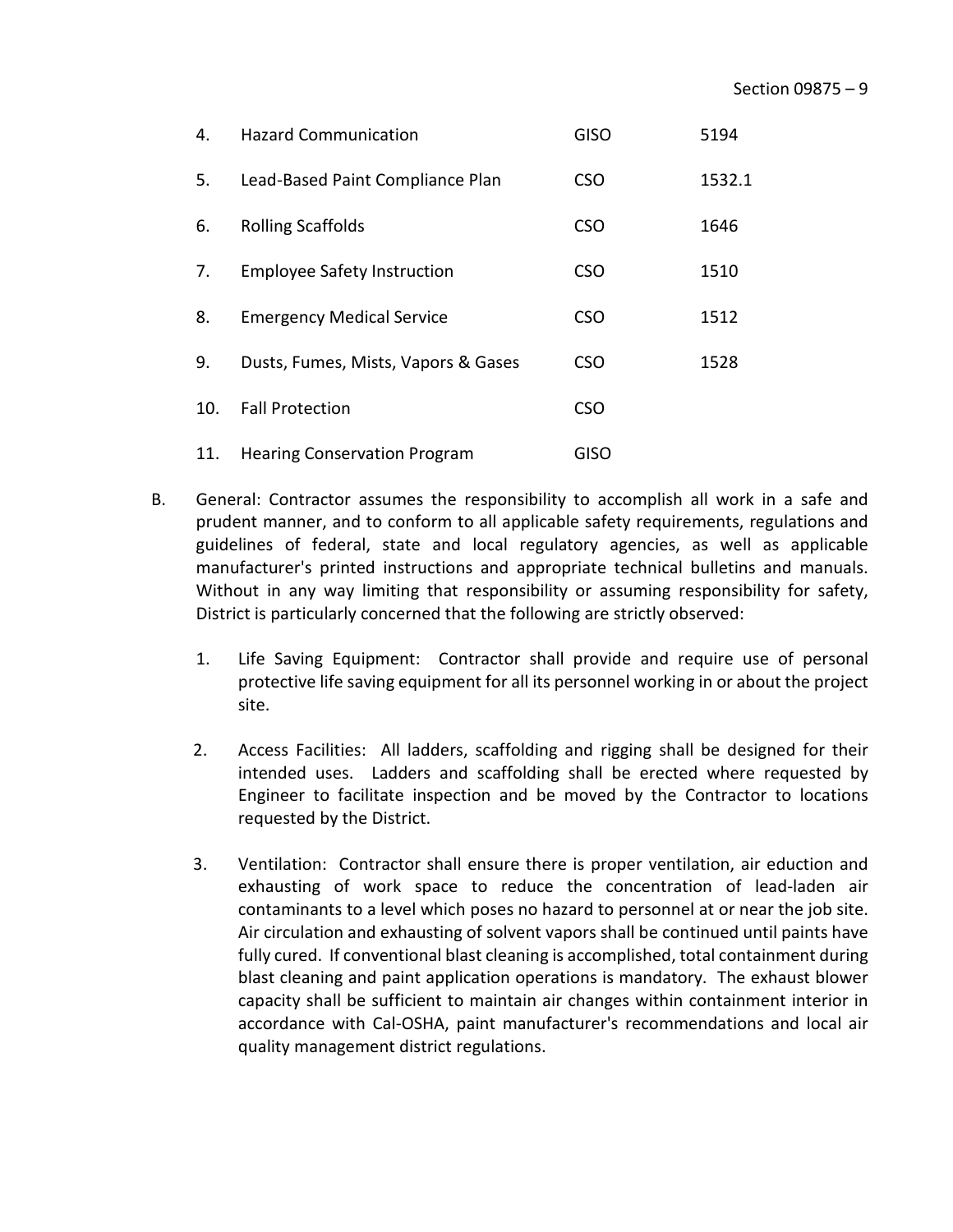| 4.  | <b>Hazard Communication</b>         | <b>GISO</b> | 5194   |
|-----|-------------------------------------|-------------|--------|
| 5.  | Lead-Based Paint Compliance Plan    | <b>CSO</b>  | 1532.1 |
| 6.  | <b>Rolling Scaffolds</b>            | <b>CSO</b>  | 1646   |
| 7.  | <b>Employee Safety Instruction</b>  | <b>CSO</b>  | 1510   |
| 8.  | <b>Emergency Medical Service</b>    | <b>CSO</b>  | 1512   |
| 9.  | Dusts, Fumes, Mists, Vapors & Gases | <b>CSO</b>  | 1528   |
| 10. | <b>Fall Protection</b>              | <b>CSO</b>  |        |
| 11. | <b>Hearing Conservation Program</b> | <b>GISO</b> |        |

- B. General: Contractor assumes the responsibility to accomplish all work in a safe and prudent manner, and to conform to all applicable safety requirements, regulations and guidelines of federal, state and local regulatory agencies, as well as applicable manufacturer's printed instructions and appropriate technical bulletins and manuals. Without in any way limiting that responsibility or assuming responsibility for safety, District is particularly concerned that the following are strictly observed:
	- 1. Life Saving Equipment: Contractor shall provide and require use of personal protective life saving equipment for all its personnel working in or about the project site.
	- 2. Access Facilities: All ladders, scaffolding and rigging shall be designed for their intended uses. Ladders and scaffolding shall be erected where requested by Engineer to facilitate inspection and be moved by the Contractor to locations requested by the District.
	- 3. Ventilation: Contractor shall ensure there is proper ventilation, air eduction and exhausting of work space to reduce the concentration of lead-laden air contaminants to a level which poses no hazard to personnel at or near the job site. Air circulation and exhausting of solvent vapors shall be continued until paints have fully cured. If conventional blast cleaning is accomplished, total containment during blast cleaning and paint application operations is mandatory. The exhaust blower capacity shall be sufficient to maintain air changes within containment interior in accordance with Cal-OSHA, paint manufacturer's recommendations and local air quality management district regulations.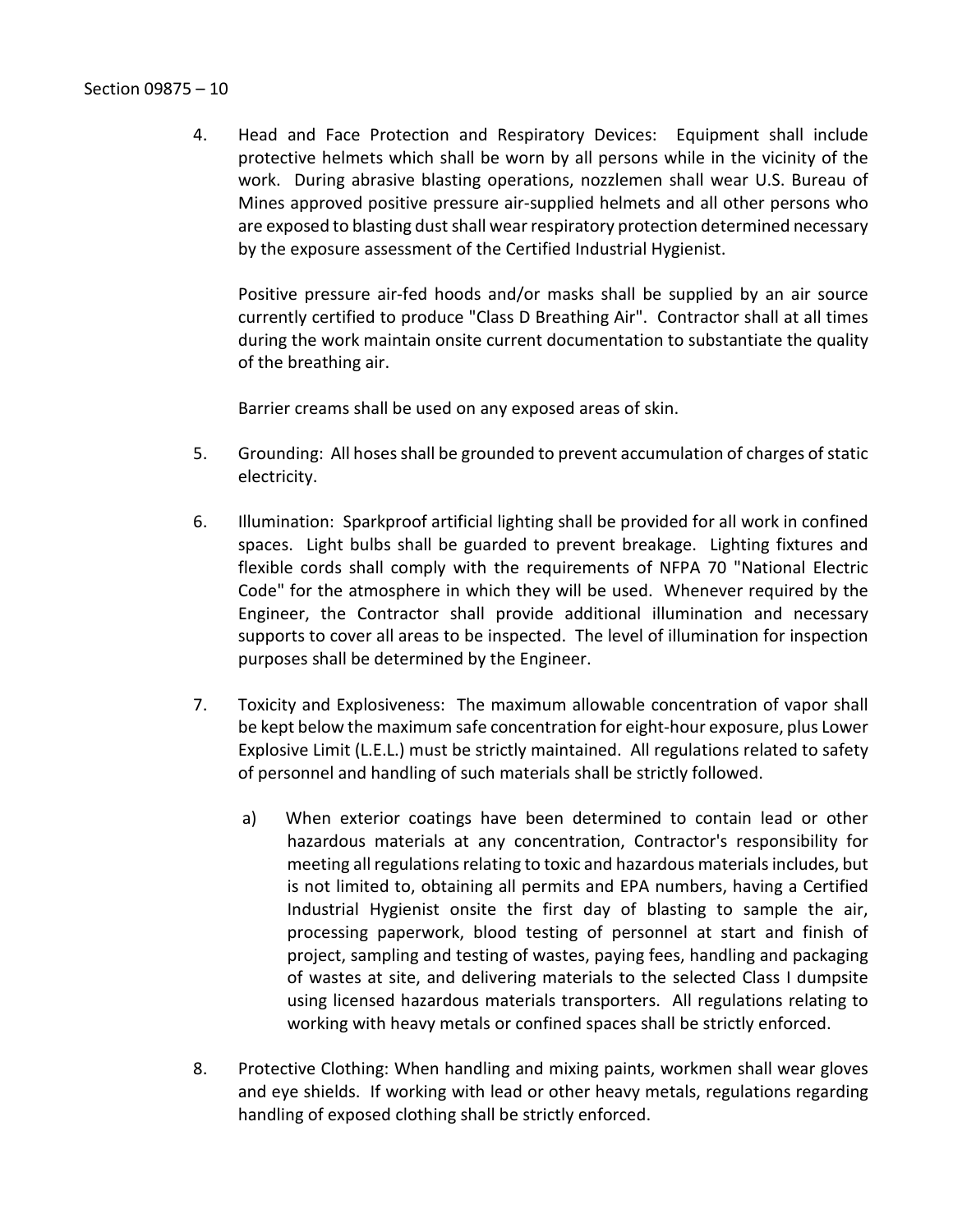4. Head and Face Protection and Respiratory Devices: Equipment shall include protective helmets which shall be worn by all persons while in the vicinity of the work. During abrasive blasting operations, nozzlemen shall wear U.S. Bureau of Mines approved positive pressure air-supplied helmets and all other persons who are exposed to blasting dust shall wear respiratory protection determined necessary by the exposure assessment of the Certified Industrial Hygienist.

Positive pressure air-fed hoods and/or masks shall be supplied by an air source currently certified to produce "Class D Breathing Air". Contractor shall at all times during the work maintain onsite current documentation to substantiate the quality of the breathing air.

Barrier creams shall be used on any exposed areas of skin.

- 5. Grounding: All hoses shall be grounded to prevent accumulation of charges of static electricity.
- 6. Illumination: Sparkproof artificial lighting shall be provided for all work in confined spaces. Light bulbs shall be guarded to prevent breakage. Lighting fixtures and flexible cords shall comply with the requirements of NFPA 70 "National Electric Code" for the atmosphere in which they will be used. Whenever required by the Engineer, the Contractor shall provide additional illumination and necessary supports to cover all areas to be inspected. The level of illumination for inspection purposes shall be determined by the Engineer.
- 7. Toxicity and Explosiveness: The maximum allowable concentration of vapor shall be kept below the maximum safe concentration for eight-hour exposure, plus Lower Explosive Limit (L.E.L.) must be strictly maintained. All regulations related to safety of personnel and handling of such materials shall be strictly followed.
	- a) When exterior coatings have been determined to contain lead or other hazardous materials at any concentration, Contractor's responsibility for meeting all regulations relating to toxic and hazardous materials includes, but is not limited to, obtaining all permits and EPA numbers, having a Certified Industrial Hygienist onsite the first day of blasting to sample the air, processing paperwork, blood testing of personnel at start and finish of project, sampling and testing of wastes, paying fees, handling and packaging of wastes at site, and delivering materials to the selected Class I dumpsite using licensed hazardous materials transporters. All regulations relating to working with heavy metals or confined spaces shall be strictly enforced.
- 8. Protective Clothing: When handling and mixing paints, workmen shall wear gloves and eye shields. If working with lead or other heavy metals, regulations regarding handling of exposed clothing shall be strictly enforced.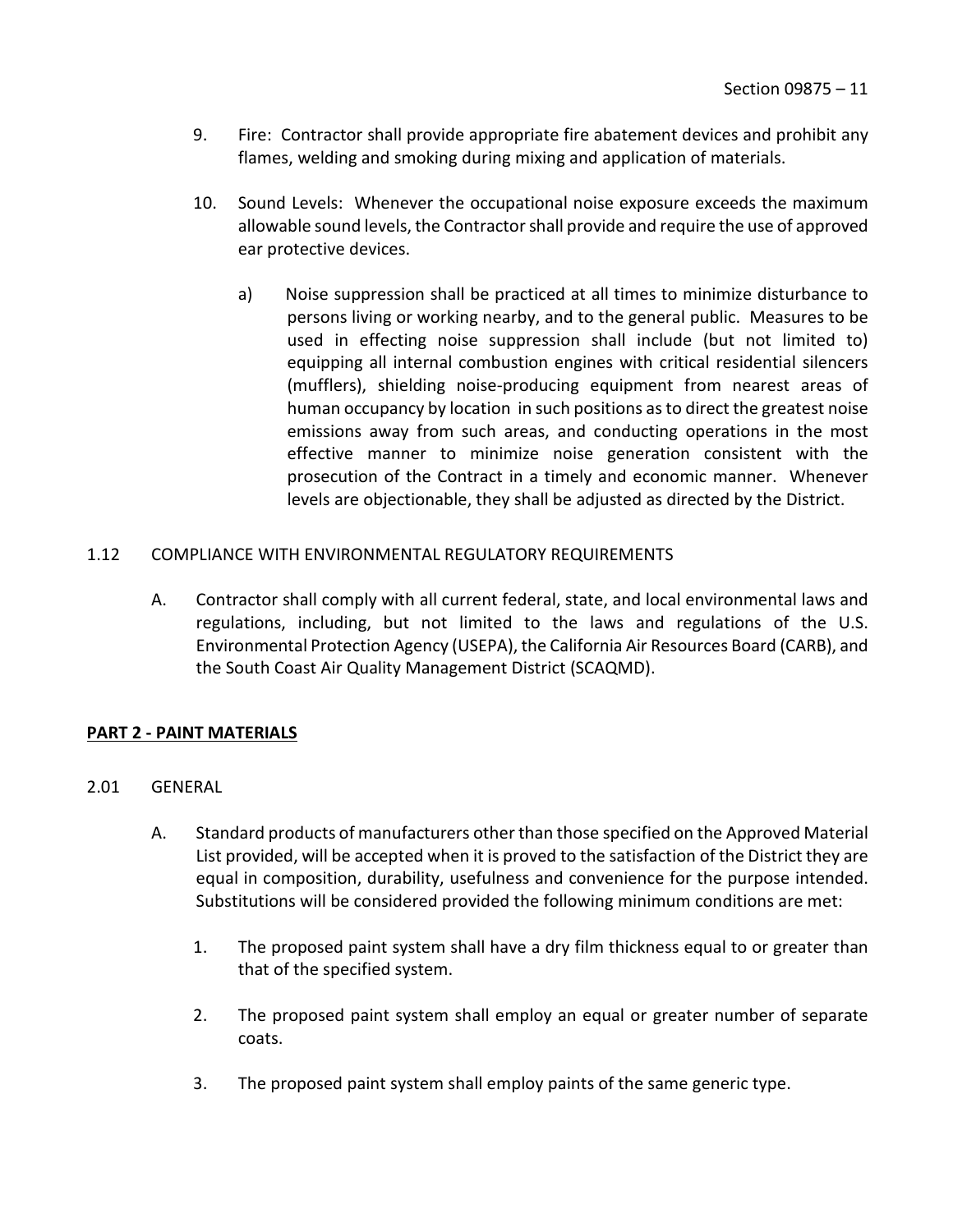- 9. Fire: Contractor shall provide appropriate fire abatement devices and prohibit any flames, welding and smoking during mixing and application of materials.
- 10. Sound Levels: Whenever the occupational noise exposure exceeds the maximum allowable sound levels, the Contractor shall provide and require the use of approved ear protective devices.
	- a) Noise suppression shall be practiced at all times to minimize disturbance to persons living or working nearby, and to the general public. Measures to be used in effecting noise suppression shall include (but not limited to) equipping all internal combustion engines with critical residential silencers (mufflers), shielding noise-producing equipment from nearest areas of human occupancy by location in such positions as to direct the greatest noise emissions away from such areas, and conducting operations in the most effective manner to minimize noise generation consistent with the prosecution of the Contract in a timely and economic manner. Whenever levels are objectionable, they shall be adjusted as directed by the District.

## <span id="page-12-0"></span>1.12 COMPLIANCE WITH ENVIRONMENTAL REGULATORY REQUIREMENTS

A. Contractor shall comply with all current federal, state, and local environmental laws and regulations, including, but not limited to the laws and regulations of the U.S. Environmental Protection Agency (USEPA), the California Air Resources Board (CARB), and the South Coast Air Quality Management District (SCAQMD).

## <span id="page-12-1"></span>**PART 2 - PAINT MATERIALS**

- <span id="page-12-2"></span>2.01 GENERAL
	- A. Standard products of manufacturers other than those specified on the Approved Material List provided, will be accepted when it is proved to the satisfaction of the District they are equal in composition, durability, usefulness and convenience for the purpose intended. Substitutions will be considered provided the following minimum conditions are met:
		- 1. The proposed paint system shall have a dry film thickness equal to or greater than that of the specified system.
		- 2. The proposed paint system shall employ an equal or greater number of separate coats.
		- 3. The proposed paint system shall employ paints of the same generic type.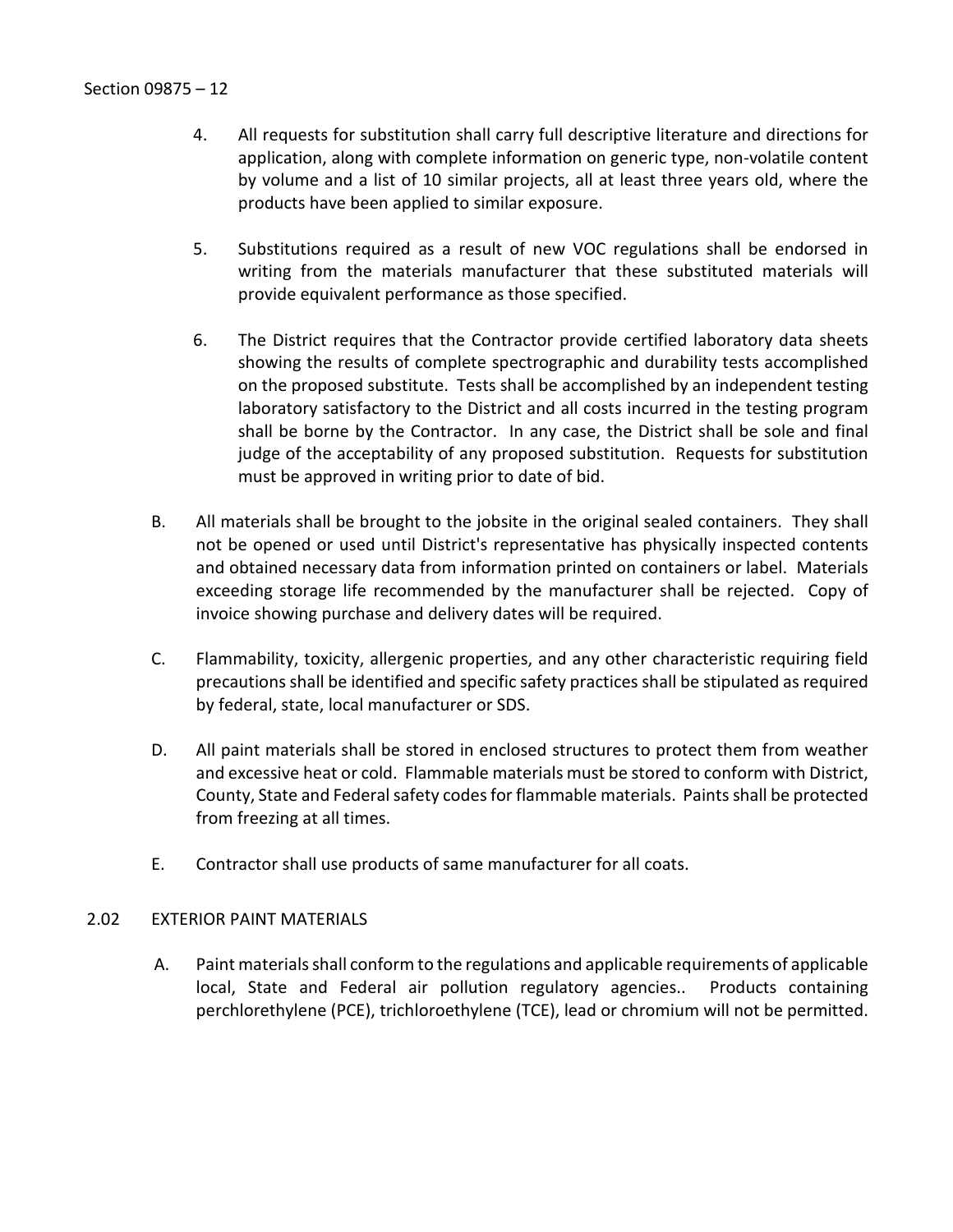- 4. All requests for substitution shall carry full descriptive literature and directions for application, along with complete information on generic type, non-volatile content by volume and a list of 10 similar projects, all at least three years old, where the products have been applied to similar exposure.
- 5. Substitutions required as a result of new VOC regulations shall be endorsed in writing from the materials manufacturer that these substituted materials will provide equivalent performance as those specified.
- 6. The District requires that the Contractor provide certified laboratory data sheets showing the results of complete spectrographic and durability tests accomplished on the proposed substitute. Tests shall be accomplished by an independent testing laboratory satisfactory to the District and all costs incurred in the testing program shall be borne by the Contractor. In any case, the District shall be sole and final judge of the acceptability of any proposed substitution. Requests for substitution must be approved in writing prior to date of bid.
- B. All materials shall be brought to the jobsite in the original sealed containers. They shall not be opened or used until District's representative has physically inspected contents and obtained necessary data from information printed on containers or label. Materials exceeding storage life recommended by the manufacturer shall be rejected. Copy of invoice showing purchase and delivery dates will be required.
- C. Flammability, toxicity, allergenic properties, and any other characteristic requiring field precautions shall be identified and specific safety practices shall be stipulated as required by federal, state, local manufacturer or SDS.
- D. All paint materials shall be stored in enclosed structures to protect them from weather and excessive heat or cold. Flammable materials must be stored to conform with District, County, State and Federal safety codes for flammable materials. Paints shall be protected from freezing at all times.
- E. Contractor shall use products of same manufacturer for all coats.

## <span id="page-13-0"></span>2.02 EXTERIOR PAINT MATERIALS

A. Paint materials shall conform to the regulations and applicable requirements of applicable local, State and Federal air pollution regulatory agencies.. Products containing perchlorethylene (PCE), trichloroethylene (TCE), lead or chromium will not be permitted.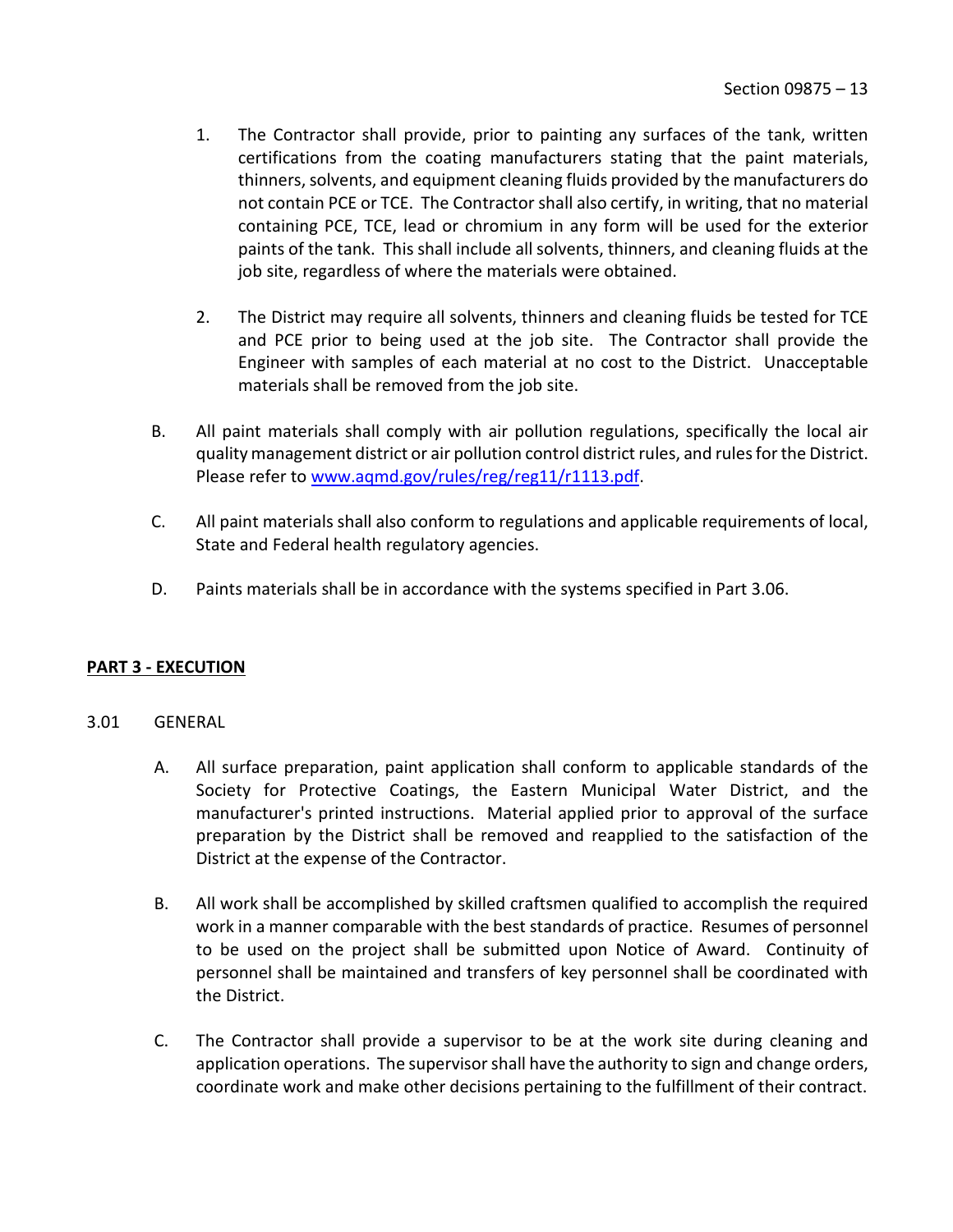- 1. The Contractor shall provide, prior to painting any surfaces of the tank, written certifications from the coating manufacturers stating that the paint materials, thinners, solvents, and equipment cleaning fluids provided by the manufacturers do not contain PCE or TCE. The Contractor shall also certify, in writing, that no material containing PCE, TCE, lead or chromium in any form will be used for the exterior paints of the tank. This shall include all solvents, thinners, and cleaning fluids at the job site, regardless of where the materials were obtained.
- 2. The District may require all solvents, thinners and cleaning fluids be tested for TCE and PCE prior to being used at the job site. The Contractor shall provide the Engineer with samples of each material at no cost to the District. Unacceptable materials shall be removed from the job site.
- B. All paint materials shall comply with air pollution regulations, specifically the local air quality management district or air pollution control district rules, and rules for the District. Please refer to [www.aqmd.gov/rules/reg/reg11/r1113.pdf.](http://www.aqmd.gov/rules/reg/reg11/r1113.pdf)
- C. All paint materials shall also conform to regulations and applicable requirements of local, State and Federal health regulatory agencies.
- D. Paints materials shall be in accordance with the systems specified in Part 3.06.

## <span id="page-14-0"></span>**PART 3 - EXECUTION**

#### <span id="page-14-1"></span>3.01 GENERAL

- A. All surface preparation, paint application shall conform to applicable standards of the Society for Protective Coatings, the Eastern Municipal Water District, and the manufacturer's printed instructions. Material applied prior to approval of the surface preparation by the District shall be removed and reapplied to the satisfaction of the District at the expense of the Contractor.
- B. All work shall be accomplished by skilled craftsmen qualified to accomplish the required work in a manner comparable with the best standards of practice. Resumes of personnel to be used on the project shall be submitted upon Notice of Award. Continuity of personnel shall be maintained and transfers of key personnel shall be coordinated with the District.
- C. The Contractor shall provide a supervisor to be at the work site during cleaning and application operations. The supervisor shall have the authority to sign and change orders, coordinate work and make other decisions pertaining to the fulfillment of their contract.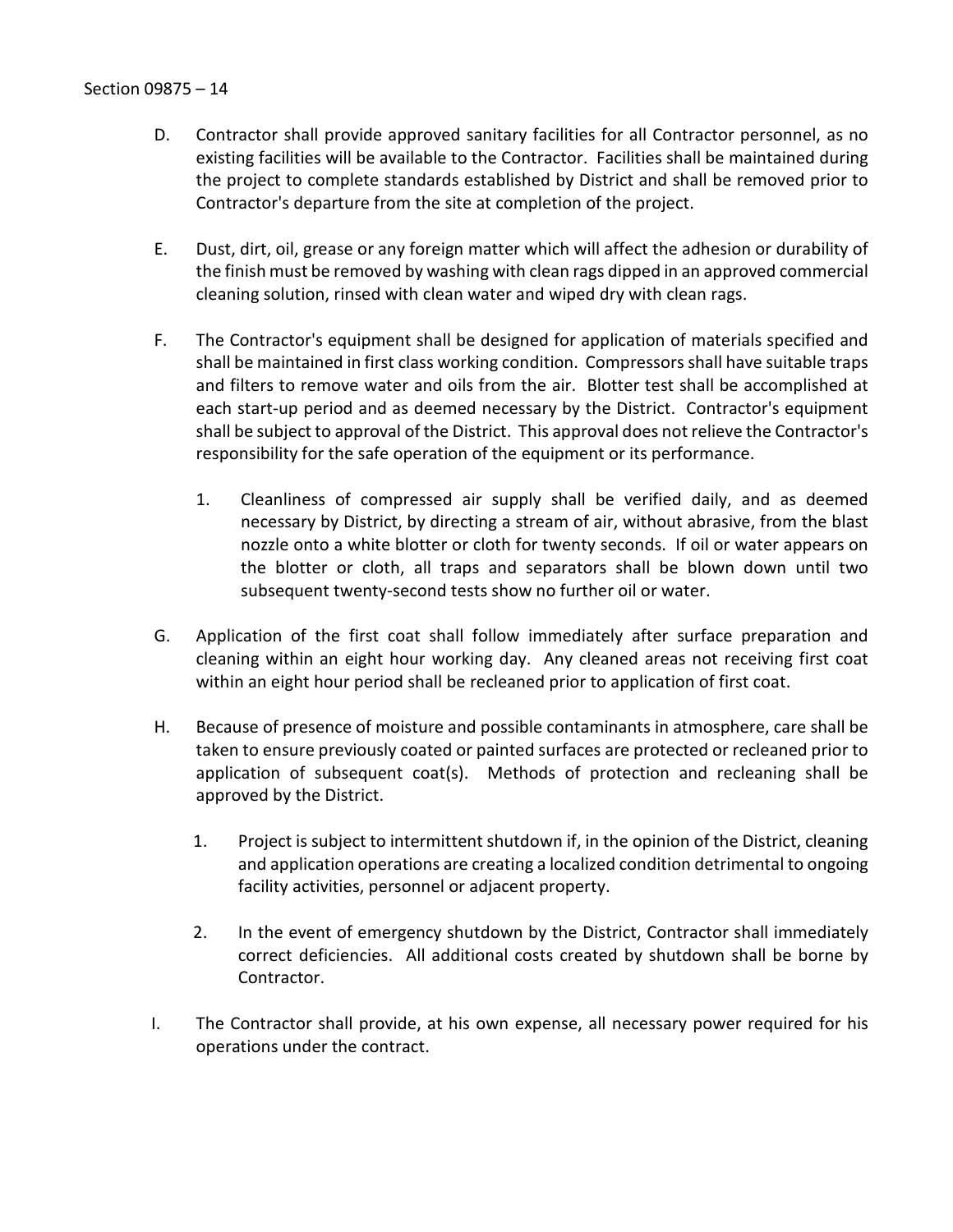- D. Contractor shall provide approved sanitary facilities for all Contractor personnel, as no existing facilities will be available to the Contractor. Facilities shall be maintained during the project to complete standards established by District and shall be removed prior to Contractor's departure from the site at completion of the project.
- E. Dust, dirt, oil, grease or any foreign matter which will affect the adhesion or durability of the finish must be removed by washing with clean rags dipped in an approved commercial cleaning solution, rinsed with clean water and wiped dry with clean rags.
- F. The Contractor's equipment shall be designed for application of materials specified and shall be maintained in first class working condition. Compressors shall have suitable traps and filters to remove water and oils from the air. Blotter test shall be accomplished at each start-up period and as deemed necessary by the District. Contractor's equipment shall be subject to approval of the District. This approval does not relieve the Contractor's responsibility for the safe operation of the equipment or its performance.
	- 1. Cleanliness of compressed air supply shall be verified daily, and as deemed necessary by District, by directing a stream of air, without abrasive, from the blast nozzle onto a white blotter or cloth for twenty seconds. If oil or water appears on the blotter or cloth, all traps and separators shall be blown down until two subsequent twenty-second tests show no further oil or water.
- G. Application of the first coat shall follow immediately after surface preparation and cleaning within an eight hour working day. Any cleaned areas not receiving first coat within an eight hour period shall be recleaned prior to application of first coat.
- H. Because of presence of moisture and possible contaminants in atmosphere, care shall be taken to ensure previously coated or painted surfaces are protected or recleaned prior to application of subsequent coat(s). Methods of protection and recleaning shall be approved by the District.
	- 1. Project is subject to intermittent shutdown if, in the opinion of the District, cleaning and application operations are creating a localized condition detrimental to ongoing facility activities, personnel or adjacent property.
	- 2. In the event of emergency shutdown by the District, Contractor shall immediately correct deficiencies. All additional costs created by shutdown shall be borne by Contractor.
- I. The Contractor shall provide, at his own expense, all necessary power required for his operations under the contract.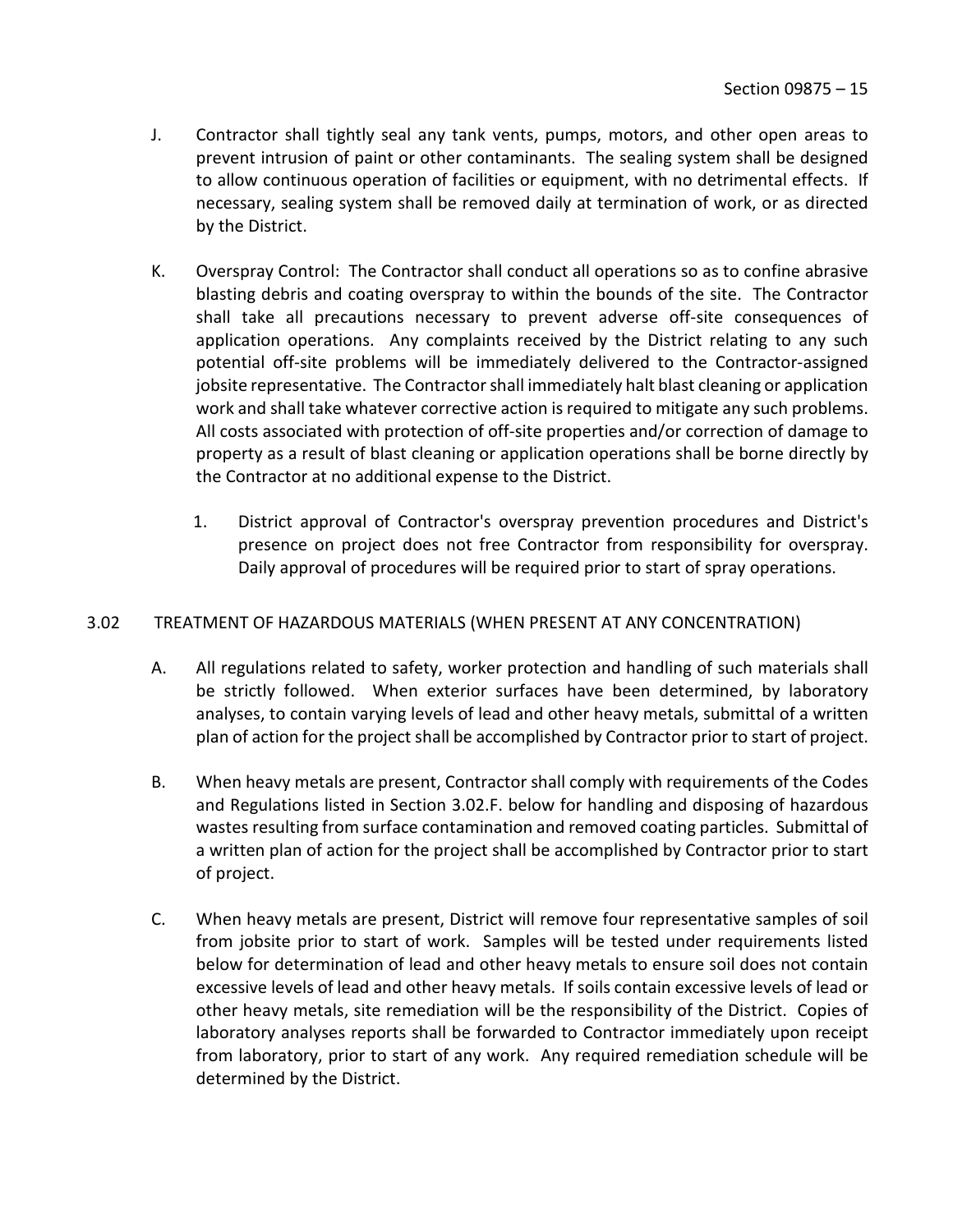- J. Contractor shall tightly seal any tank vents, pumps, motors, and other open areas to prevent intrusion of paint or other contaminants. The sealing system shall be designed to allow continuous operation of facilities or equipment, with no detrimental effects. If necessary, sealing system shall be removed daily at termination of work, or as directed by the District.
- K. Overspray Control: The Contractor shall conduct all operations so as to confine abrasive blasting debris and coating overspray to within the bounds of the site. The Contractor shall take all precautions necessary to prevent adverse off-site consequences of application operations. Any complaints received by the District relating to any such potential off-site problems will be immediately delivered to the Contractor-assigned jobsite representative. The Contractor shall immediately halt blast cleaning or application work and shall take whatever corrective action is required to mitigate any such problems. All costs associated with protection of off-site properties and/or correction of damage to property as a result of blast cleaning or application operations shall be borne directly by the Contractor at no additional expense to the District.
	- 1. District approval of Contractor's overspray prevention procedures and District's presence on project does not free Contractor from responsibility for overspray. Daily approval of procedures will be required prior to start of spray operations.

## <span id="page-16-0"></span>3.02 TREATMENT OF HAZARDOUS MATERIALS (WHEN PRESENT AT ANY CONCENTRATION)

- A. All regulations related to safety, worker protection and handling of such materials shall be strictly followed. When exterior surfaces have been determined, by laboratory analyses, to contain varying levels of lead and other heavy metals, submittal of a written plan of action for the project shall be accomplished by Contractor prior to start of project.
- B. When heavy metals are present, Contractor shall comply with requirements of the Codes and Regulations listed in Section 3.02.F. below for handling and disposing of hazardous wastes resulting from surface contamination and removed coating particles. Submittal of a written plan of action for the project shall be accomplished by Contractor prior to start of project.
- C. When heavy metals are present, District will remove four representative samples of soil from jobsite prior to start of work. Samples will be tested under requirements listed below for determination of lead and other heavy metals to ensure soil does not contain excessive levels of lead and other heavy metals. If soils contain excessive levels of lead or other heavy metals, site remediation will be the responsibility of the District. Copies of laboratory analyses reports shall be forwarded to Contractor immediately upon receipt from laboratory, prior to start of any work. Any required remediation schedule will be determined by the District.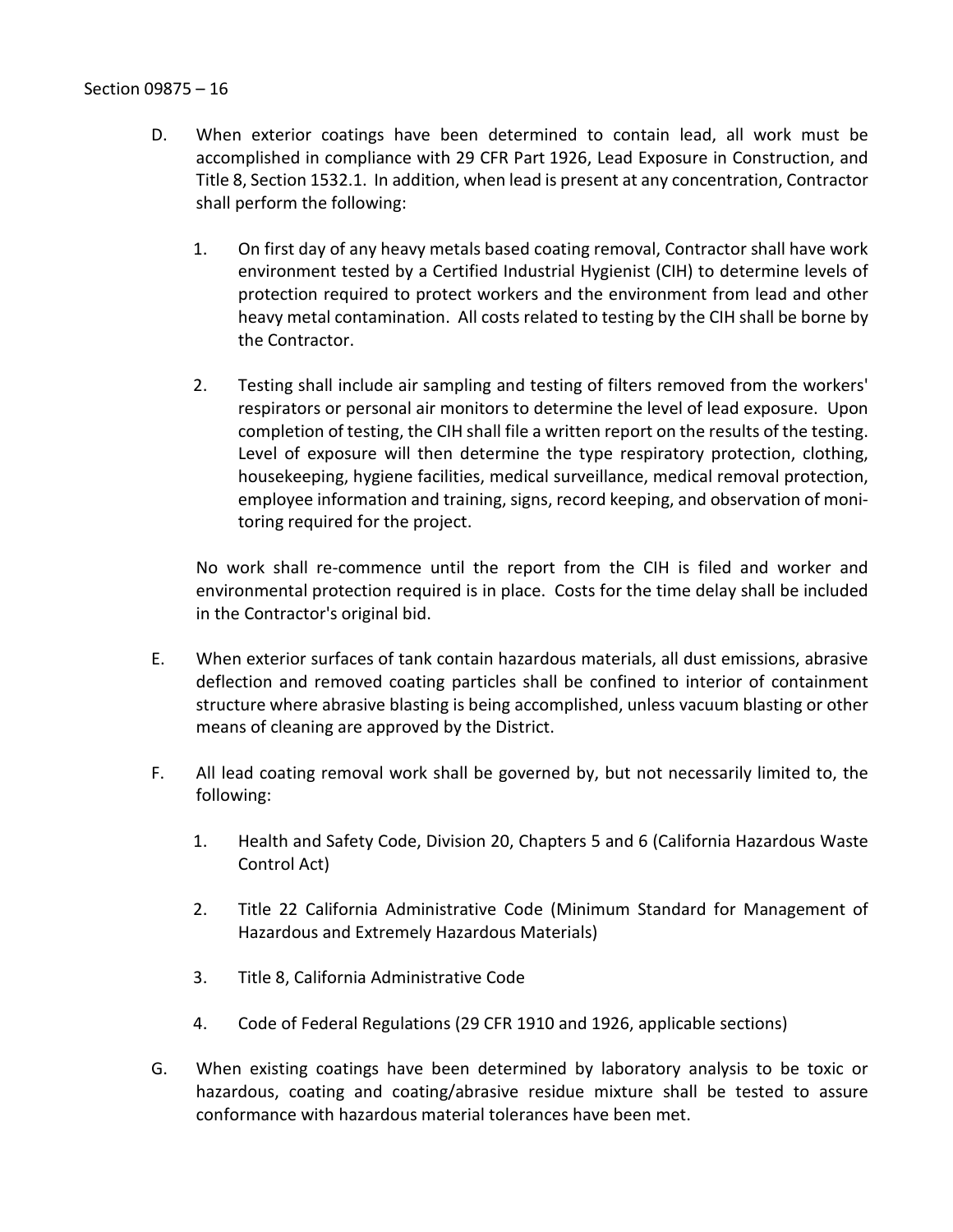- D. When exterior coatings have been determined to contain lead, all work must be accomplished in compliance with 29 CFR Part 1926, Lead Exposure in Construction, and Title 8, Section 1532.1. In addition, when lead is present at any concentration, Contractor shall perform the following:
	- 1. On first day of any heavy metals based coating removal, Contractor shall have work environment tested by a Certified Industrial Hygienist (CIH) to determine levels of protection required to protect workers and the environment from lead and other heavy metal contamination. All costs related to testing by the CIH shall be borne by the Contractor.
	- 2. Testing shall include air sampling and testing of filters removed from the workers' respirators or personal air monitors to determine the level of lead exposure. Upon completion of testing, the CIH shall file a written report on the results of the testing. Level of exposure will then determine the type respiratory protection, clothing, housekeeping, hygiene facilities, medical surveillance, medical removal protection, employee information and training, signs, record keeping, and observation of monitoring required for the project.

No work shall re-commence until the report from the CIH is filed and worker and environmental protection required is in place. Costs for the time delay shall be included in the Contractor's original bid.

- E. When exterior surfaces of tank contain hazardous materials, all dust emissions, abrasive deflection and removed coating particles shall be confined to interior of containment structure where abrasive blasting is being accomplished, unless vacuum blasting or other means of cleaning are approved by the District.
- F. All lead coating removal work shall be governed by, but not necessarily limited to, the following:
	- 1. Health and Safety Code, Division 20, Chapters 5 and 6 (California Hazardous Waste Control Act)
	- 2. Title 22 California Administrative Code (Minimum Standard for Management of Hazardous and Extremely Hazardous Materials)
	- 3. Title 8, California Administrative Code
	- 4. Code of Federal Regulations (29 CFR 1910 and 1926, applicable sections)
- G. When existing coatings have been determined by laboratory analysis to be toxic or hazardous, coating and coating/abrasive residue mixture shall be tested to assure conformance with hazardous material tolerances have been met.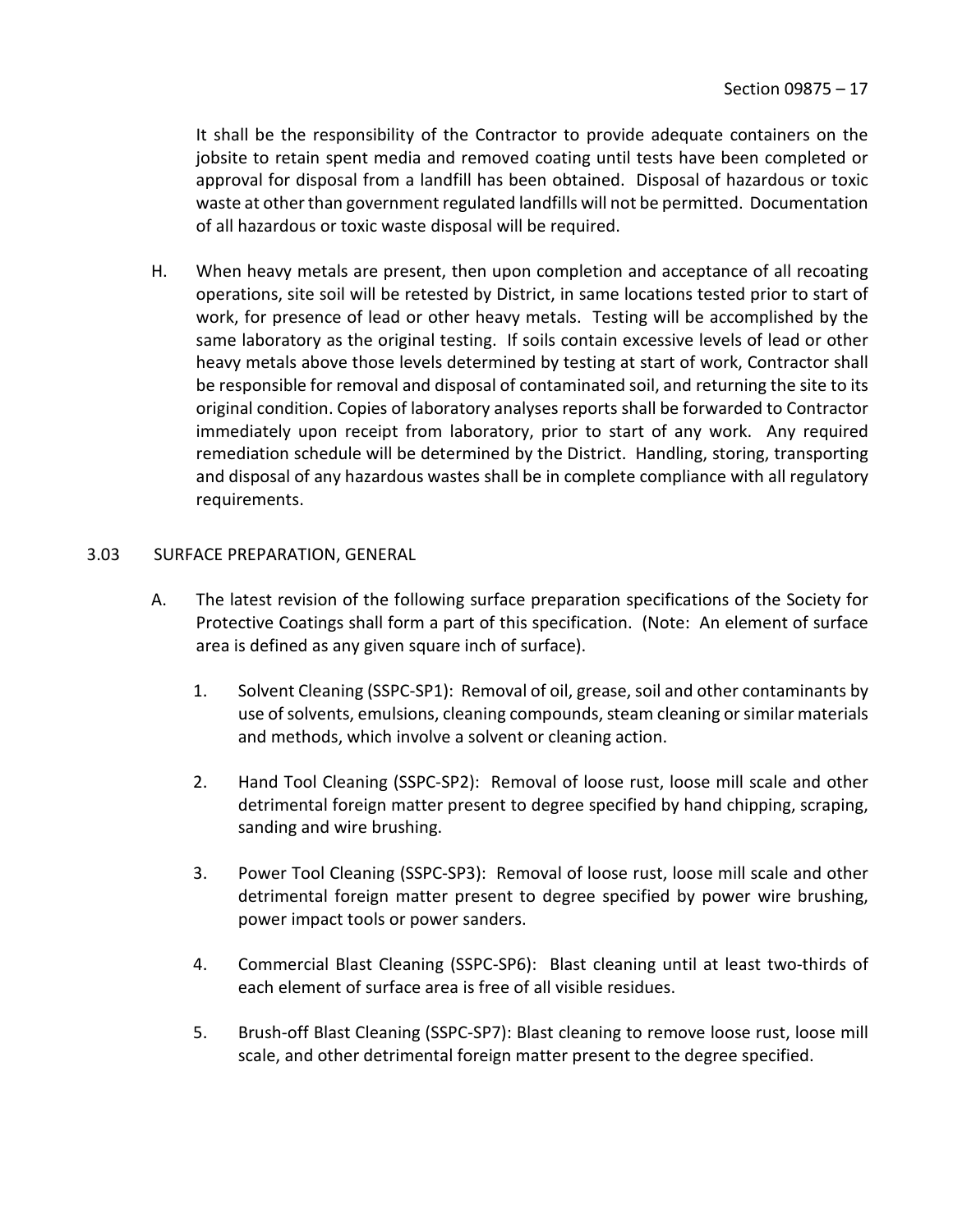It shall be the responsibility of the Contractor to provide adequate containers on the jobsite to retain spent media and removed coating until tests have been completed or approval for disposal from a landfill has been obtained. Disposal of hazardous or toxic waste at other than government regulated landfills will not be permitted. Documentation of all hazardous or toxic waste disposal will be required.

H. When heavy metals are present, then upon completion and acceptance of all recoating operations, site soil will be retested by District, in same locations tested prior to start of work, for presence of lead or other heavy metals. Testing will be accomplished by the same laboratory as the original testing. If soils contain excessive levels of lead or other heavy metals above those levels determined by testing at start of work, Contractor shall be responsible for removal and disposal of contaminated soil, and returning the site to its original condition. Copies of laboratory analyses reports shall be forwarded to Contractor immediately upon receipt from laboratory, prior to start of any work. Any required remediation schedule will be determined by the District. Handling, storing, transporting and disposal of any hazardous wastes shall be in complete compliance with all regulatory requirements.

#### <span id="page-18-0"></span>3.03 SURFACE PREPARATION, GENERAL

- A. The latest revision of the following surface preparation specifications of the Society for Protective Coatings shall form a part of this specification. (Note: An element of surface area is defined as any given square inch of surface).
	- 1. Solvent Cleaning (SSPC-SP1): Removal of oil, grease, soil and other contaminants by use of solvents, emulsions, cleaning compounds, steam cleaning or similar materials and methods, which involve a solvent or cleaning action.
	- 2. Hand Tool Cleaning (SSPC-SP2): Removal of loose rust, loose mill scale and other detrimental foreign matter present to degree specified by hand chipping, scraping, sanding and wire brushing.
	- 3. Power Tool Cleaning (SSPC-SP3): Removal of loose rust, loose mill scale and other detrimental foreign matter present to degree specified by power wire brushing, power impact tools or power sanders.
	- 4. Commercial Blast Cleaning (SSPC-SP6): Blast cleaning until at least two-thirds of each element of surface area is free of all visible residues.
	- 5. Brush-off Blast Cleaning (SSPC-SP7): Blast cleaning to remove loose rust, loose mill scale, and other detrimental foreign matter present to the degree specified.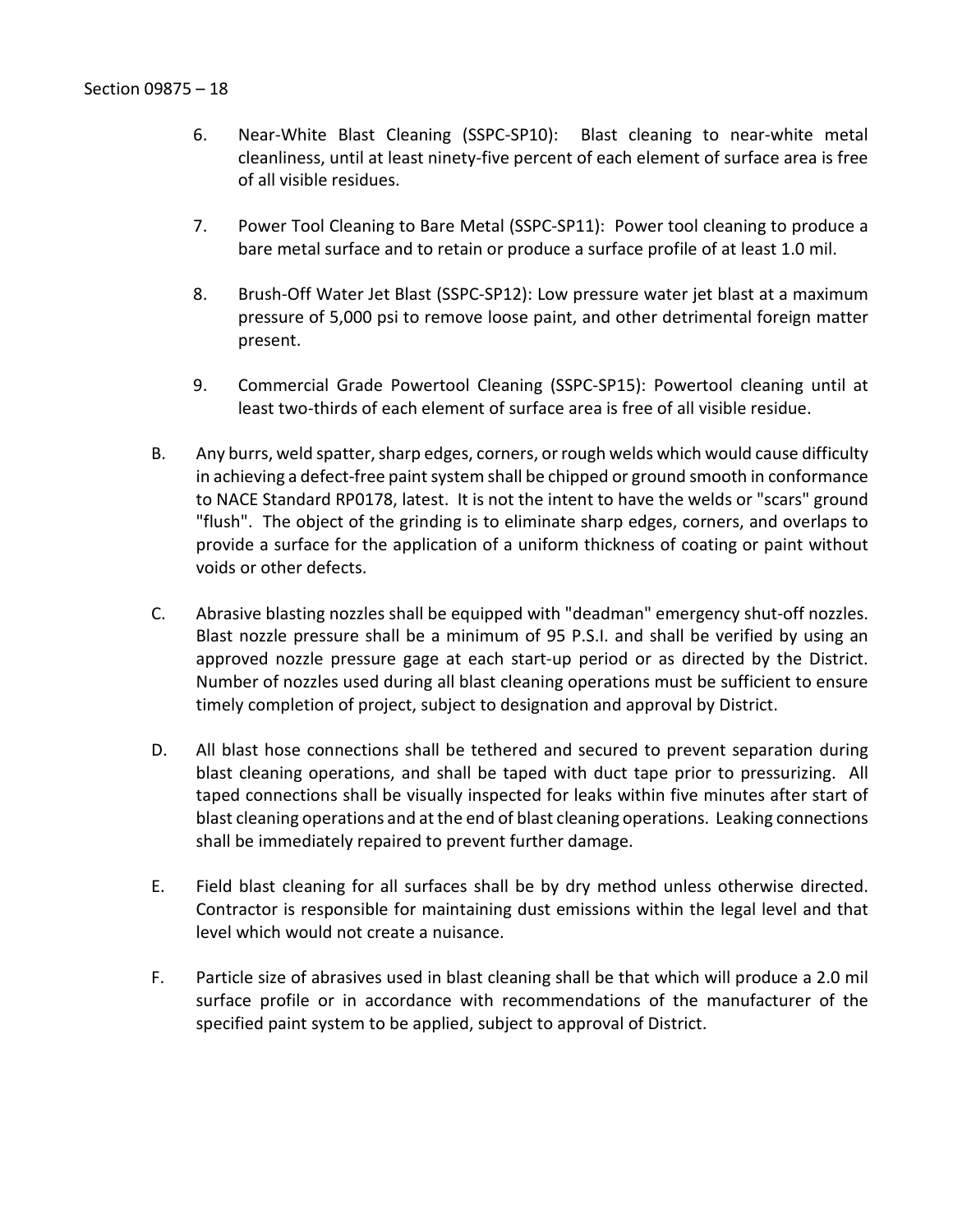- 6. Near-White Blast Cleaning (SSPC-SP10): Blast cleaning to near-white metal cleanliness, until at least ninety-five percent of each element of surface area is free of all visible residues.
- 7. Power Tool Cleaning to Bare Metal (SSPC-SP11): Power tool cleaning to produce a bare metal surface and to retain or produce a surface profile of at least 1.0 mil.
- 8. Brush-Off Water Jet Blast (SSPC-SP12): Low pressure water jet blast at a maximum pressure of 5,000 psi to remove loose paint, and other detrimental foreign matter present.
- 9. Commercial Grade Powertool Cleaning (SSPC-SP15): Powertool cleaning until at least two-thirds of each element of surface area is free of all visible residue.
- B. Any burrs, weld spatter, sharp edges, corners, or rough welds which would cause difficulty in achieving a defect-free paint system shall be chipped or ground smooth in conformance to NACE Standard RP0178, latest. It is not the intent to have the welds or "scars" ground "flush". The object of the grinding is to eliminate sharp edges, corners, and overlaps to provide a surface for the application of a uniform thickness of coating or paint without voids or other defects.
- C. Abrasive blasting nozzles shall be equipped with "deadman" emergency shut-off nozzles. Blast nozzle pressure shall be a minimum of 95 P.S.I. and shall be verified by using an approved nozzle pressure gage at each start-up period or as directed by the District. Number of nozzles used during all blast cleaning operations must be sufficient to ensure timely completion of project, subject to designation and approval by District.
- D. All blast hose connections shall be tethered and secured to prevent separation during blast cleaning operations, and shall be taped with duct tape prior to pressurizing. All taped connections shall be visually inspected for leaks within five minutes after start of blast cleaning operations and at the end of blast cleaning operations. Leaking connections shall be immediately repaired to prevent further damage.
- E. Field blast cleaning for all surfaces shall be by dry method unless otherwise directed. Contractor is responsible for maintaining dust emissions within the legal level and that level which would not create a nuisance.
- F. Particle size of abrasives used in blast cleaning shall be that which will produce a 2.0 mil surface profile or in accordance with recommendations of the manufacturer of the specified paint system to be applied, subject to approval of District.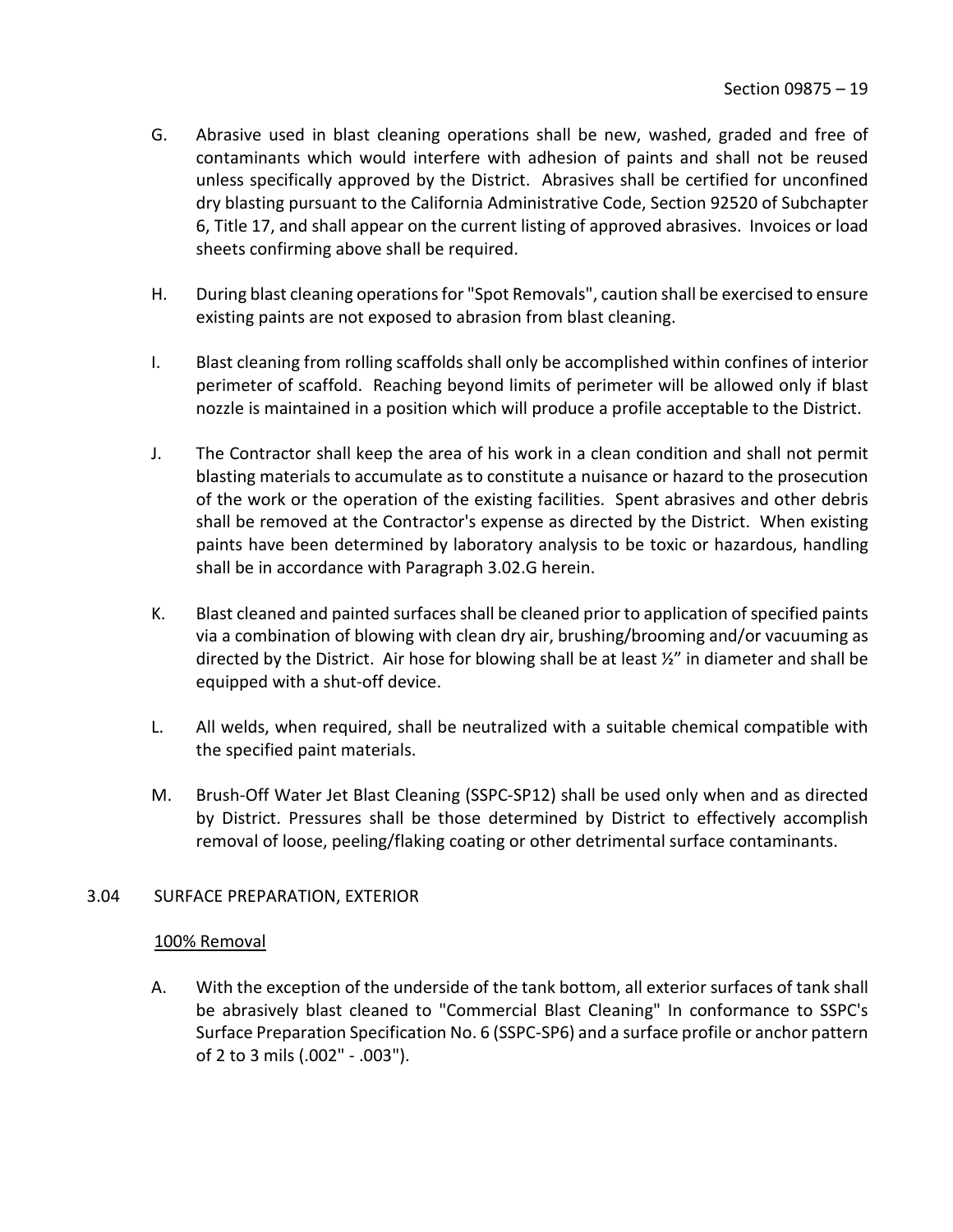- G. Abrasive used in blast cleaning operations shall be new, washed, graded and free of contaminants which would interfere with adhesion of paints and shall not be reused unless specifically approved by the District. Abrasives shall be certified for unconfined dry blasting pursuant to the California Administrative Code, Section 92520 of Subchapter 6, Title 17, and shall appear on the current listing of approved abrasives. Invoices or load sheets confirming above shall be required.
- H. During blast cleaning operations for "Spot Removals", caution shall be exercised to ensure existing paints are not exposed to abrasion from blast cleaning.
- I. Blast cleaning from rolling scaffolds shall only be accomplished within confines of interior perimeter of scaffold. Reaching beyond limits of perimeter will be allowed only if blast nozzle is maintained in a position which will produce a profile acceptable to the District.
- J. The Contractor shall keep the area of his work in a clean condition and shall not permit blasting materials to accumulate as to constitute a nuisance or hazard to the prosecution of the work or the operation of the existing facilities. Spent abrasives and other debris shall be removed at the Contractor's expense as directed by the District. When existing paints have been determined by laboratory analysis to be toxic or hazardous, handling shall be in accordance with Paragraph 3.02.G herein.
- K. Blast cleaned and painted surfaces shall be cleaned prior to application of specified paints via a combination of blowing with clean dry air, brushing/brooming and/or vacuuming as directed by the District. Air hose for blowing shall be at least ½" in diameter and shall be equipped with a shut-off device.
- L. All welds, when required, shall be neutralized with a suitable chemical compatible with the specified paint materials.
- M. Brush-Off Water Jet Blast Cleaning (SSPC-SP12) shall be used only when and as directed by District. Pressures shall be those determined by District to effectively accomplish removal of loose, peeling/flaking coating or other detrimental surface contaminants.

## <span id="page-20-0"></span>3.04 SURFACE PREPARATION, EXTERIOR

## 100% Removal

A. With the exception of the underside of the tank bottom, all exterior surfaces of tank shall be abrasively blast cleaned to "Commercial Blast Cleaning" In conformance to SSPC's Surface Preparation Specification No. 6 (SSPC-SP6) and a surface profile or anchor pattern of 2 to 3 mils (.002" - .003").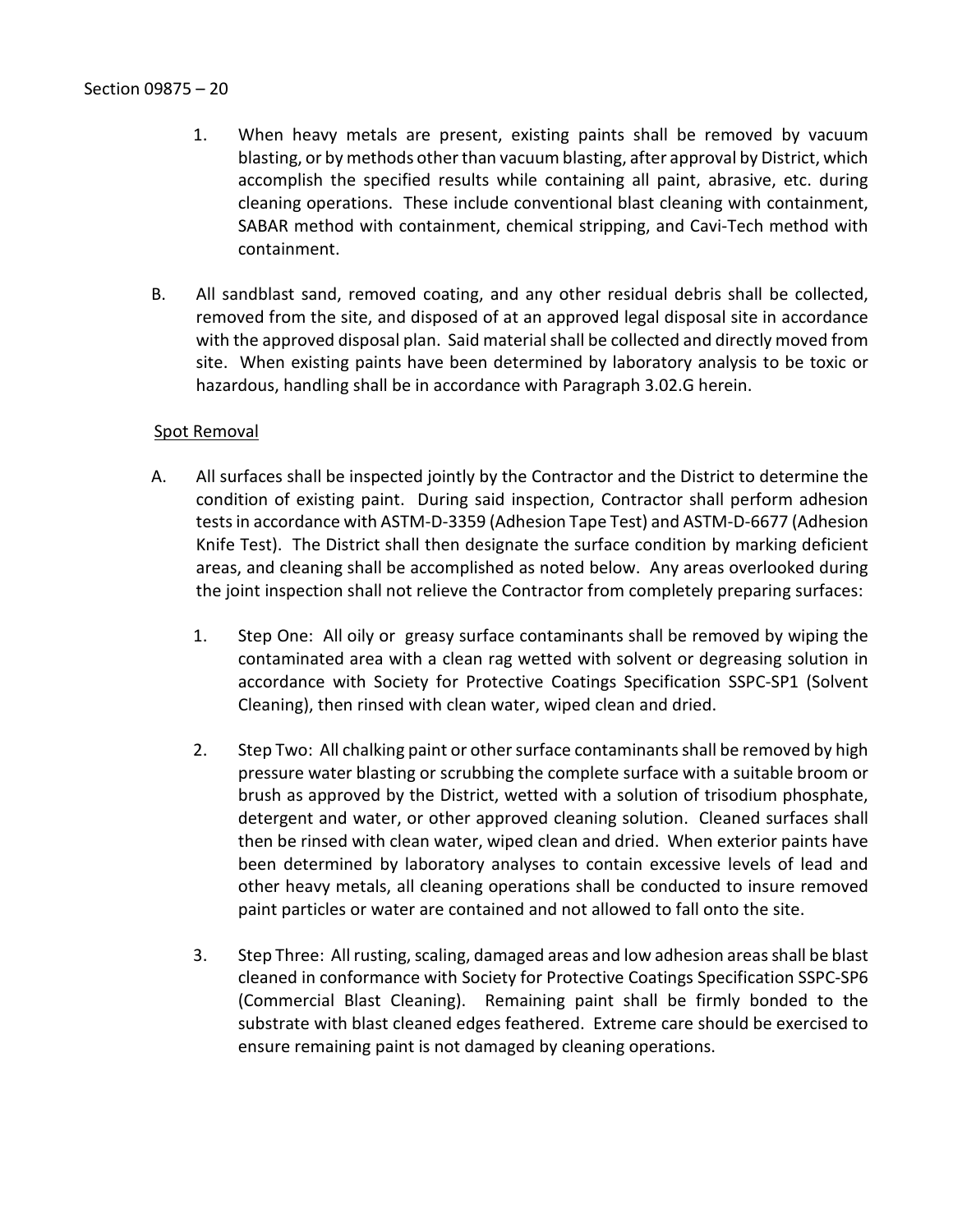- 1. When heavy metals are present, existing paints shall be removed by vacuum blasting, or by methods other than vacuum blasting, after approval by District, which accomplish the specified results while containing all paint, abrasive, etc. during cleaning operations. These include conventional blast cleaning with containment, SABAR method with containment, chemical stripping, and Cavi-Tech method with containment.
- B. All sandblast sand, removed coating, and any other residual debris shall be collected, removed from the site, and disposed of at an approved legal disposal site in accordance with the approved disposal plan. Said material shall be collected and directly moved from site. When existing paints have been determined by laboratory analysis to be toxic or hazardous, handling shall be in accordance with Paragraph 3.02.G herein.

## Spot Removal

- A. All surfaces shall be inspected jointly by the Contractor and the District to determine the condition of existing paint. During said inspection, Contractor shall perform adhesion tests in accordance with ASTM-D-3359 (Adhesion Tape Test) and ASTM-D-6677 (Adhesion Knife Test). The District shall then designate the surface condition by marking deficient areas, and cleaning shall be accomplished as noted below. Any areas overlooked during the joint inspection shall not relieve the Contractor from completely preparing surfaces:
	- 1. Step One: All oily or greasy surface contaminants shall be removed by wiping the contaminated area with a clean rag wetted with solvent or degreasing solution in accordance with Society for Protective Coatings Specification SSPC-SP1 (Solvent Cleaning), then rinsed with clean water, wiped clean and dried.
	- 2. Step Two: All chalking paint or other surface contaminants shall be removed by high pressure water blasting or scrubbing the complete surface with a suitable broom or brush as approved by the District, wetted with a solution of trisodium phosphate, detergent and water, or other approved cleaning solution. Cleaned surfaces shall then be rinsed with clean water, wiped clean and dried. When exterior paints have been determined by laboratory analyses to contain excessive levels of lead and other heavy metals, all cleaning operations shall be conducted to insure removed paint particles or water are contained and not allowed to fall onto the site.
	- 3. Step Three: All rusting, scaling, damaged areas and low adhesion areasshall be blast cleaned in conformance with Society for Protective Coatings Specification SSPC-SP6 (Commercial Blast Cleaning). Remaining paint shall be firmly bonded to the substrate with blast cleaned edges feathered. Extreme care should be exercised to ensure remaining paint is not damaged by cleaning operations.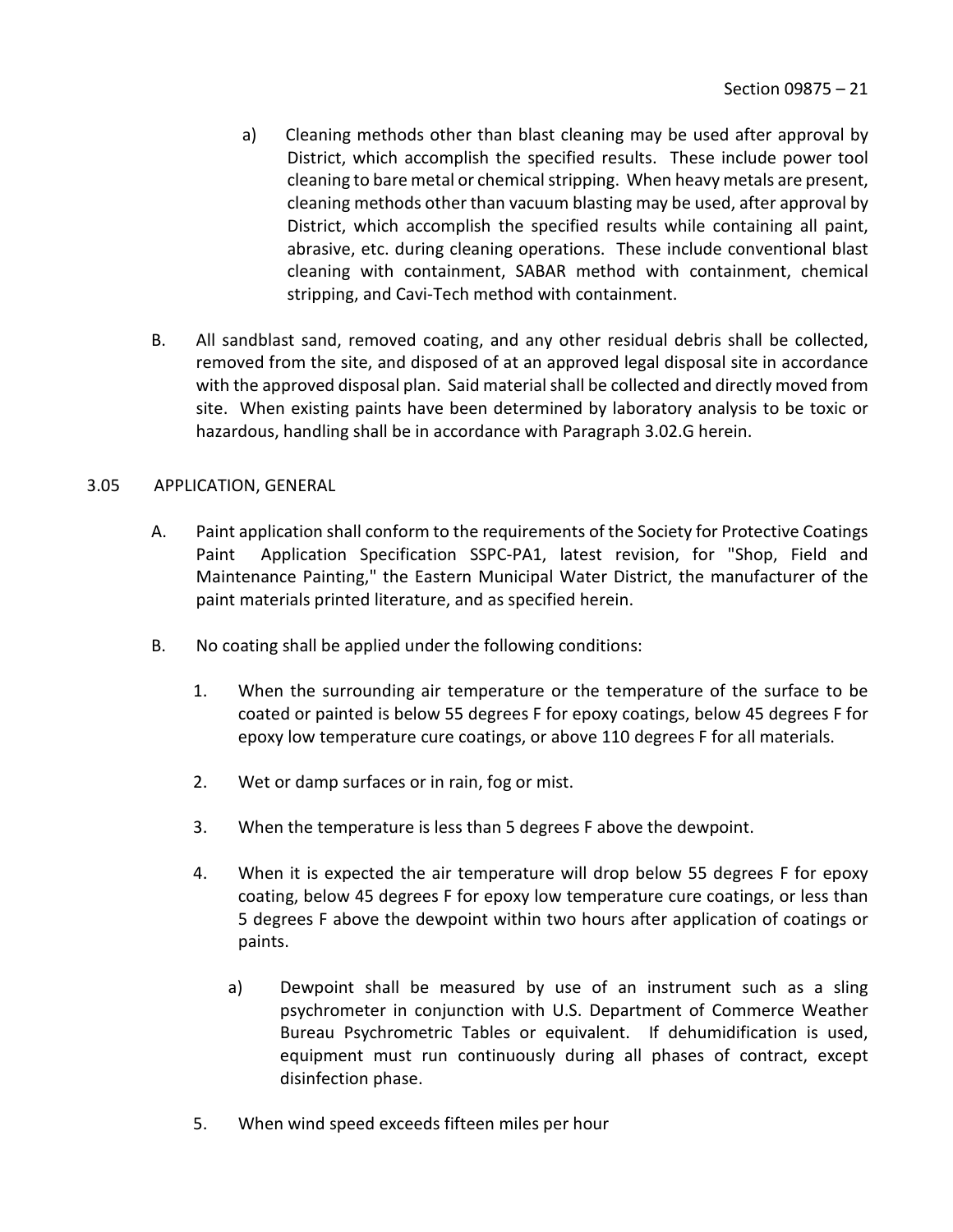- a) Cleaning methods other than blast cleaning may be used after approval by District, which accomplish the specified results. These include power tool cleaning to bare metal or chemical stripping. When heavy metals are present, cleaning methods other than vacuum blasting may be used, after approval by District, which accomplish the specified results while containing all paint, abrasive, etc. during cleaning operations. These include conventional blast cleaning with containment, SABAR method with containment, chemical stripping, and Cavi-Tech method with containment.
- B. All sandblast sand, removed coating, and any other residual debris shall be collected, removed from the site, and disposed of at an approved legal disposal site in accordance with the approved disposal plan. Said material shall be collected and directly moved from site. When existing paints have been determined by laboratory analysis to be toxic or hazardous, handling shall be in accordance with Paragraph 3.02.G herein.

## <span id="page-22-0"></span>3.05 APPLICATION, GENERAL

- A. Paint application shall conform to the requirements of the Society for Protective Coatings Paint Application Specification SSPC-PA1, latest revision, for "Shop, Field and Maintenance Painting," the Eastern Municipal Water District, the manufacturer of the paint materials printed literature, and as specified herein.
- B. No coating shall be applied under the following conditions:
	- 1. When the surrounding air temperature or the temperature of the surface to be coated or painted is below 55 degrees F for epoxy coatings, below 45 degrees F for epoxy low temperature cure coatings, or above 110 degrees F for all materials.
	- 2. Wet or damp surfaces or in rain, fog or mist.
	- 3. When the temperature is less than 5 degrees F above the dewpoint.
	- 4. When it is expected the air temperature will drop below 55 degrees F for epoxy coating, below 45 degrees F for epoxy low temperature cure coatings, or less than 5 degrees F above the dewpoint within two hours after application of coatings or paints.
		- a) Dewpoint shall be measured by use of an instrument such as a sling psychrometer in conjunction with U.S. Department of Commerce Weather Bureau Psychrometric Tables or equivalent. If dehumidification is used, equipment must run continuously during all phases of contract, except disinfection phase.
	- 5. When wind speed exceeds fifteen miles per hour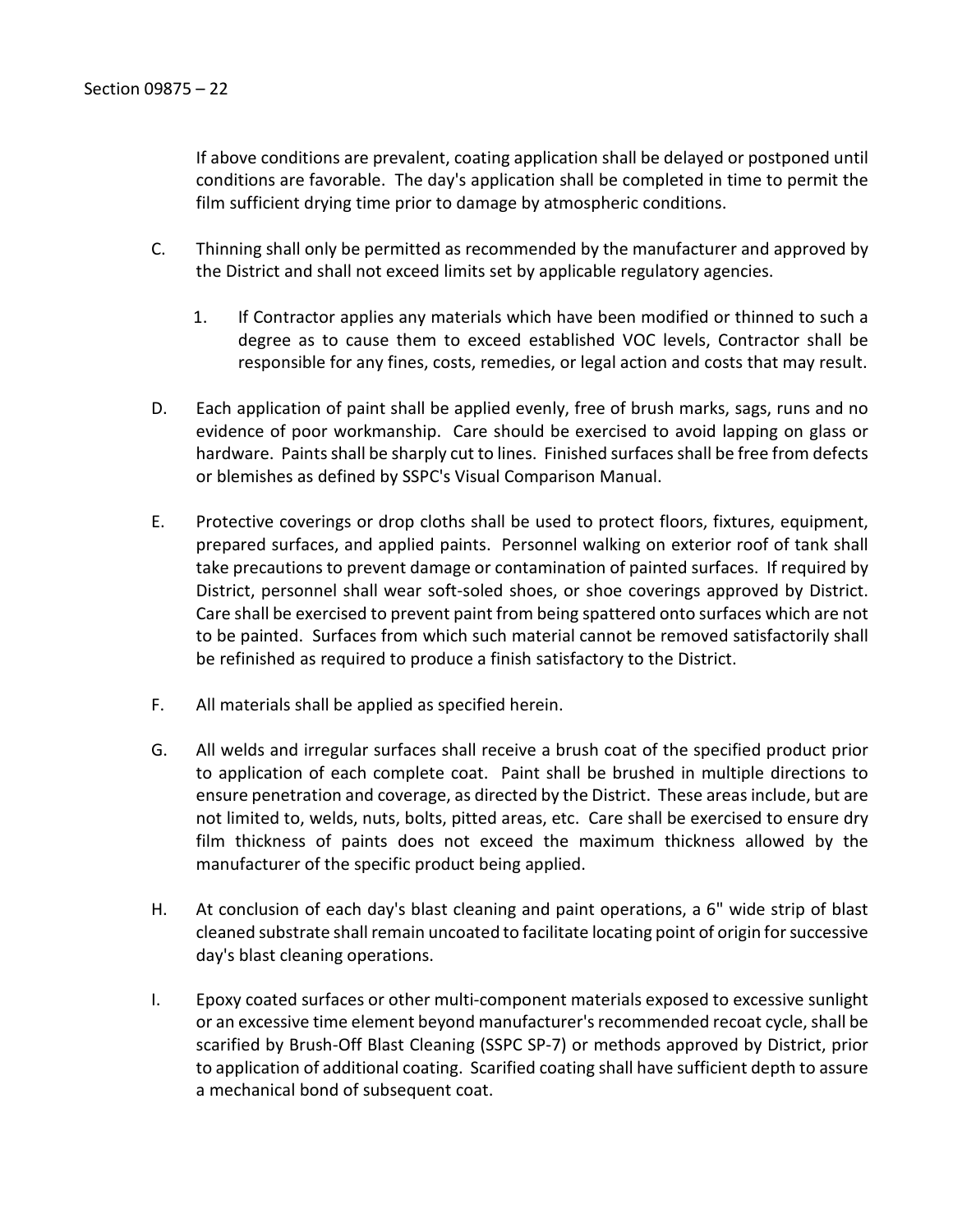If above conditions are prevalent, coating application shall be delayed or postponed until conditions are favorable. The day's application shall be completed in time to permit the film sufficient drying time prior to damage by atmospheric conditions.

- C. Thinning shall only be permitted as recommended by the manufacturer and approved by the District and shall not exceed limits set by applicable regulatory agencies.
	- 1. If Contractor applies any materials which have been modified or thinned to such a degree as to cause them to exceed established VOC levels, Contractor shall be responsible for any fines, costs, remedies, or legal action and costs that may result.
- D. Each application of paint shall be applied evenly, free of brush marks, sags, runs and no evidence of poor workmanship. Care should be exercised to avoid lapping on glass or hardware. Paints shall be sharply cut to lines. Finished surfaces shall be free from defects or blemishes as defined by SSPC's Visual Comparison Manual.
- E. Protective coverings or drop cloths shall be used to protect floors, fixtures, equipment, prepared surfaces, and applied paints. Personnel walking on exterior roof of tank shall take precautions to prevent damage or contamination of painted surfaces. If required by District, personnel shall wear soft-soled shoes, or shoe coverings approved by District. Care shall be exercised to prevent paint from being spattered onto surfaces which are not to be painted. Surfaces from which such material cannot be removed satisfactorily shall be refinished as required to produce a finish satisfactory to the District.
- F. All materials shall be applied as specified herein.
- G. All welds and irregular surfaces shall receive a brush coat of the specified product prior to application of each complete coat. Paint shall be brushed in multiple directions to ensure penetration and coverage, as directed by the District. These areas include, but are not limited to, welds, nuts, bolts, pitted areas, etc. Care shall be exercised to ensure dry film thickness of paints does not exceed the maximum thickness allowed by the manufacturer of the specific product being applied.
- H. At conclusion of each day's blast cleaning and paint operations, a 6" wide strip of blast cleaned substrate shall remain uncoated to facilitate locating point of origin for successive day's blast cleaning operations.
- I. Epoxy coated surfaces or other multi-component materials exposed to excessive sunlight or an excessive time element beyond manufacturer's recommended recoat cycle, shall be scarified by Brush-Off Blast Cleaning (SSPC SP-7) or methods approved by District, prior to application of additional coating. Scarified coating shall have sufficient depth to assure a mechanical bond of subsequent coat.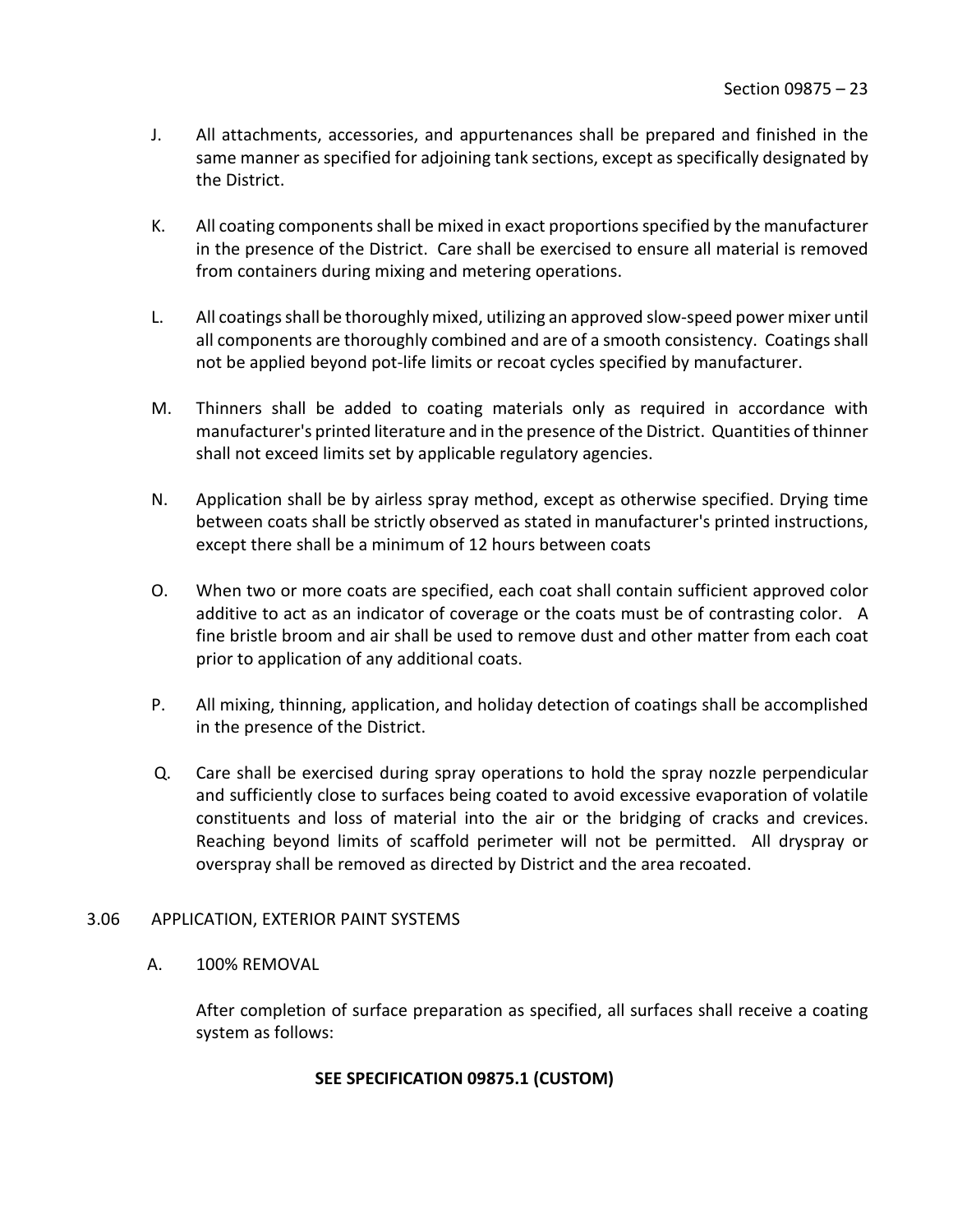- J. All attachments, accessories, and appurtenances shall be prepared and finished in the same manner as specified for adjoining tank sections, except as specifically designated by the District.
- K. All coating components shall be mixed in exact proportions specified by the manufacturer in the presence of the District. Care shall be exercised to ensure all material is removed from containers during mixing and metering operations.
- L. All coatings shall be thoroughly mixed, utilizing an approved slow-speed power mixer until all components are thoroughly combined and are of a smooth consistency. Coatings shall not be applied beyond pot-life limits or recoat cycles specified by manufacturer.
- M. Thinners shall be added to coating materials only as required in accordance with manufacturer's printed literature and in the presence of the District. Quantities of thinner shall not exceed limits set by applicable regulatory agencies.
- N. Application shall be by airless spray method, except as otherwise specified. Drying time between coats shall be strictly observed as stated in manufacturer's printed instructions, except there shall be a minimum of 12 hours between coats
- O. When two or more coats are specified, each coat shall contain sufficient approved color additive to act as an indicator of coverage or the coats must be of contrasting color. A fine bristle broom and air shall be used to remove dust and other matter from each coat prior to application of any additional coats.
- P. All mixing, thinning, application, and holiday detection of coatings shall be accomplished in the presence of the District.
- Q. Care shall be exercised during spray operations to hold the spray nozzle perpendicular and sufficiently close to surfaces being coated to avoid excessive evaporation of volatile constituents and loss of material into the air or the bridging of cracks and crevices. Reaching beyond limits of scaffold perimeter will not be permitted. All dryspray or overspray shall be removed as directed by District and the area recoated.

## <span id="page-24-0"></span>3.06 APPLICATION, EXTERIOR PAINT SYSTEMS

## A. 100% REMOVAL

After completion of surface preparation as specified, all surfaces shall receive a coating system as follows:

## **SEE SPECIFICATION 09875.1 (CUSTOM)**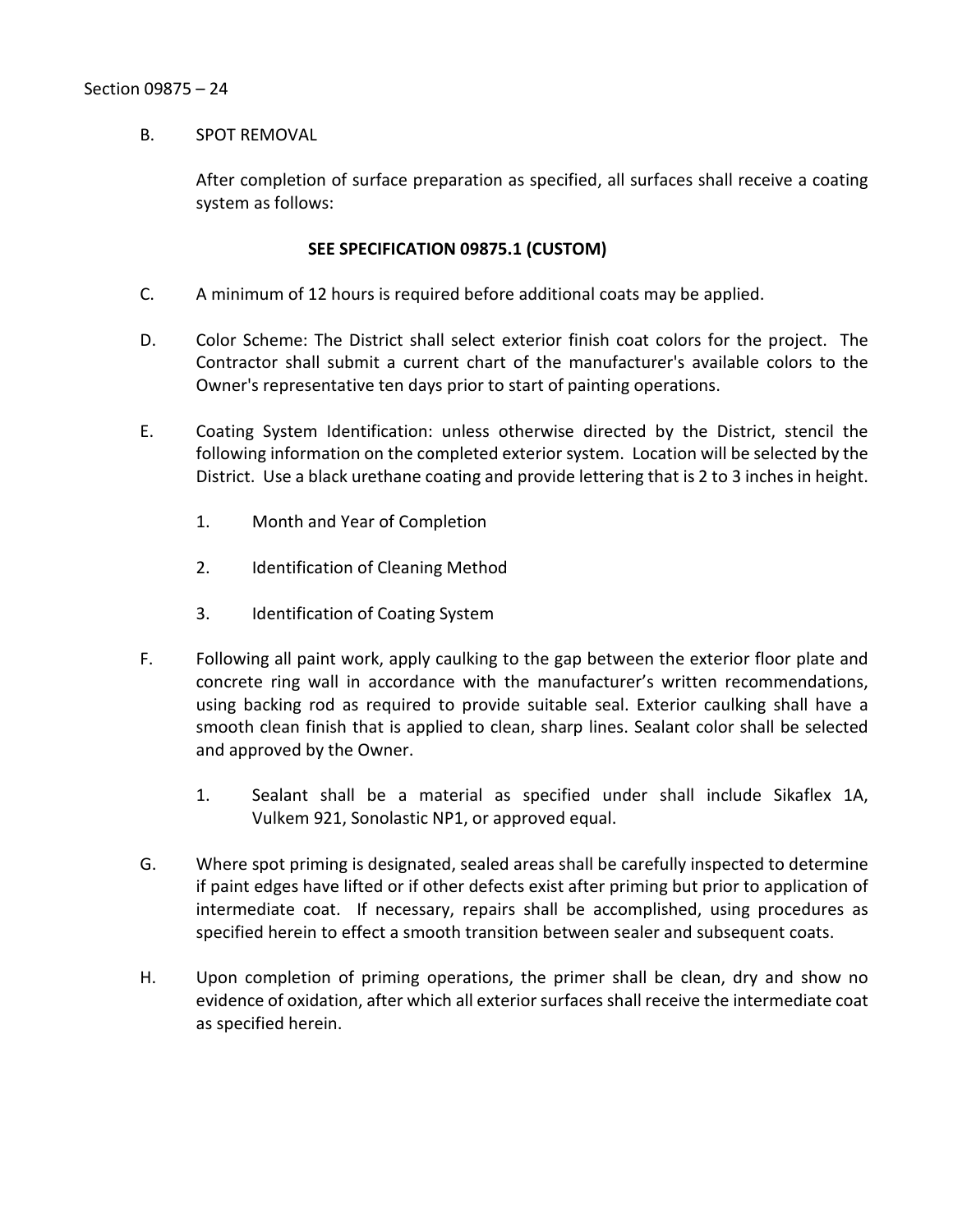#### B. SPOT REMOVAL

After completion of surface preparation as specified, all surfaces shall receive a coating system as follows:

## **SEE SPECIFICATION 09875.1 (CUSTOM)**

- C. A minimum of 12 hours is required before additional coats may be applied.
- D. Color Scheme: The District shall select exterior finish coat colors for the project. The Contractor shall submit a current chart of the manufacturer's available colors to the Owner's representative ten days prior to start of painting operations.
- E. Coating System Identification: unless otherwise directed by the District, stencil the following information on the completed exterior system. Location will be selected by the District. Use a black urethane coating and provide lettering that is 2 to 3 inches in height.
	- 1. Month and Year of Completion
	- 2. Identification of Cleaning Method
	- 3. Identification of Coating System
- F. Following all paint work, apply caulking to the gap between the exterior floor plate and concrete ring wall in accordance with the manufacturer's written recommendations, using backing rod as required to provide suitable seal. Exterior caulking shall have a smooth clean finish that is applied to clean, sharp lines. Sealant color shall be selected and approved by the Owner.
	- 1. Sealant shall be a material as specified under shall include Sikaflex 1A, Vulkem 921, Sonolastic NP1, or approved equal.
- G. Where spot priming is designated, sealed areas shall be carefully inspected to determine if paint edges have lifted or if other defects exist after priming but prior to application of intermediate coat. If necessary, repairs shall be accomplished, using procedures as specified herein to effect a smooth transition between sealer and subsequent coats.
- H. Upon completion of priming operations, the primer shall be clean, dry and show no evidence of oxidation, after which all exterior surfaces shall receive the intermediate coat as specified herein.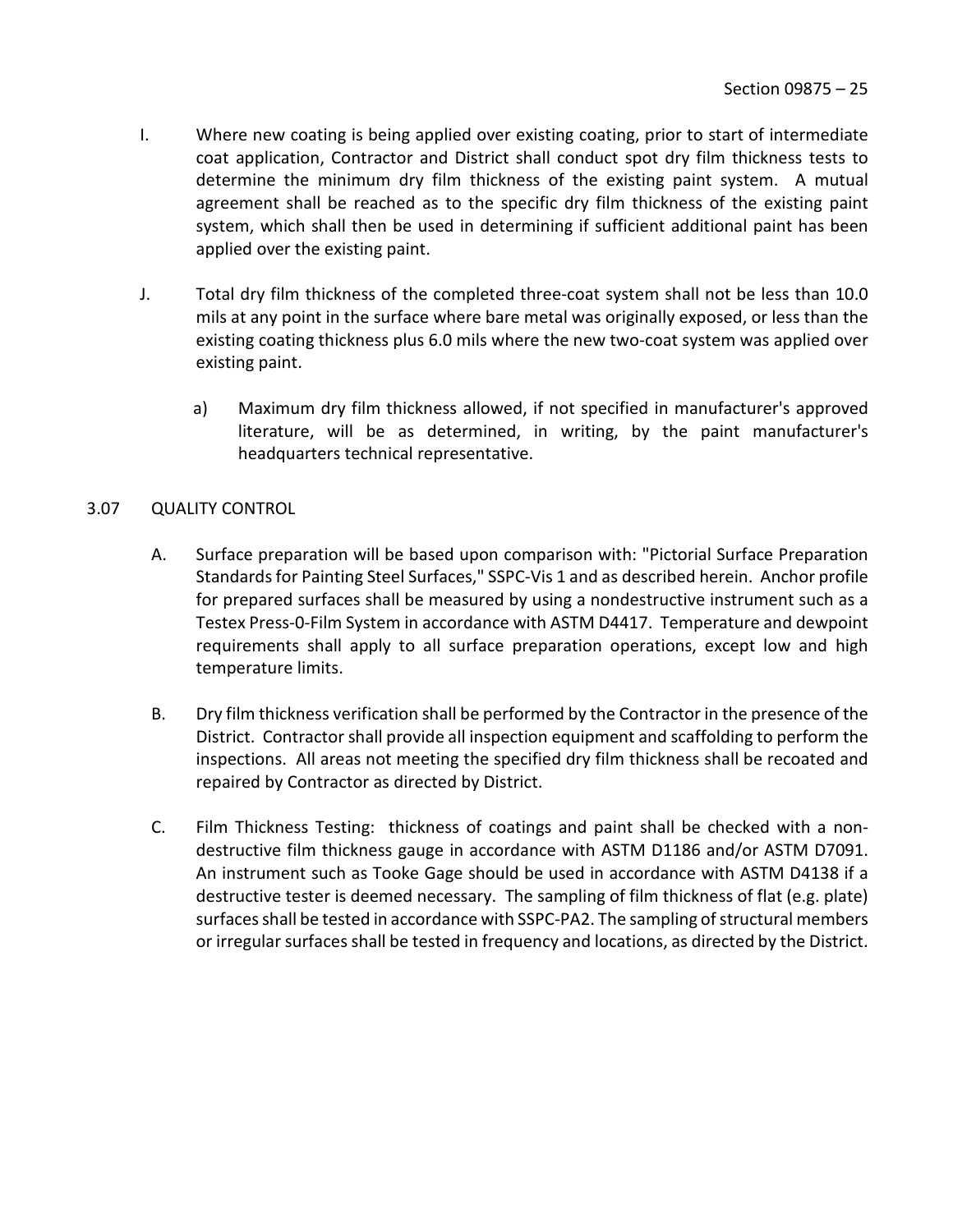- I. Where new coating is being applied over existing coating, prior to start of intermediate coat application, Contractor and District shall conduct spot dry film thickness tests to determine the minimum dry film thickness of the existing paint system. A mutual agreement shall be reached as to the specific dry film thickness of the existing paint system, which shall then be used in determining if sufficient additional paint has been applied over the existing paint.
- J. Total dry film thickness of the completed three-coat system shall not be less than 10.0 mils at any point in the surface where bare metal was originally exposed, or less than the existing coating thickness plus 6.0 mils where the new two-coat system was applied over existing paint.
	- a) Maximum dry film thickness allowed, if not specified in manufacturer's approved literature, will be as determined, in writing, by the paint manufacturer's headquarters technical representative.

## <span id="page-26-0"></span>3.07 QUALITY CONTROL

- A. Surface preparation will be based upon comparison with: "Pictorial Surface Preparation Standards for Painting Steel Surfaces," SSPC-Vis 1 and as described herein. Anchor profile for prepared surfaces shall be measured by using a nondestructive instrument such as a Testex Press-0-Film System in accordance with ASTM D4417. Temperature and dewpoint requirements shall apply to all surface preparation operations, except low and high temperature limits.
- B. Dry film thickness verification shall be performed by the Contractor in the presence of the District. Contractor shall provide all inspection equipment and scaffolding to perform the inspections. All areas not meeting the specified dry film thickness shall be recoated and repaired by Contractor as directed by District.
- C. Film Thickness Testing: thickness of coatings and paint shall be checked with a nondestructive film thickness gauge in accordance with ASTM D1186 and/or ASTM D7091. An instrument such as Tooke Gage should be used in accordance with ASTM D4138 if a destructive tester is deemed necessary. The sampling of film thickness of flat (e.g. plate) surfaces shall be tested in accordance with SSPC-PA2. The sampling of structural members or irregular surfaces shall be tested in frequency and locations, as directed by the District.